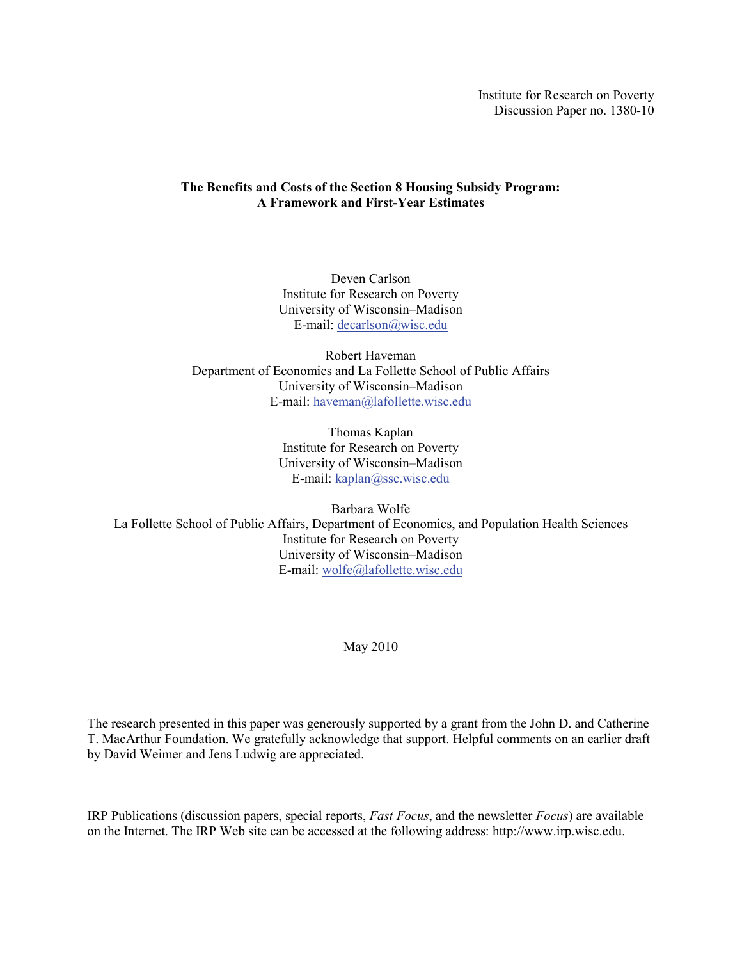Institute for Research on Poverty Discussion Paper no. 1380-10

# **The Benefits and Costs of the Section 8 Housing Subsidy Program: A Framework and First-Year Estimates**

Deven Carlson Institute for Research on Poverty University of Wisconsin–Madison E-mail: [decarlson@wisc.edu](mailto:decarlson@wisc.edu)

Robert Haveman Department of Economics and La Follette School of Public Affairs University of Wisconsin–Madison E-mail: [haveman@lafollette.wisc.edu](mailto:haveman@lafollette.wisc.edu)

> Thomas Kaplan Institute for Research on Poverty University of Wisconsin–Madison E-mail: [kaplan@ssc.wisc.edu](mailto:kaplan@ssc.wisc.edu)

Barbara Wolfe La Follette School of Public Affairs, Department of Economics, and Population Health Sciences Institute for Research on Poverty University of Wisconsin–Madison E-mail: [wolfe@lafollette.wisc.edu](mailto:wolfe@lafollette.wisc.edu)

May 2010

The research presented in this paper was generously supported by a grant from the John D. and Catherine T. MacArthur Foundation. We gratefully acknowledge that support. Helpful comments on an earlier draft by David Weimer and Jens Ludwig are appreciated.

IRP Publications (discussion papers, special reports, *Fast Focus*, and the newsletter *Focus*) are available on the Internet. The IRP Web site can be accessed at the following address: http://www.irp.wisc.edu.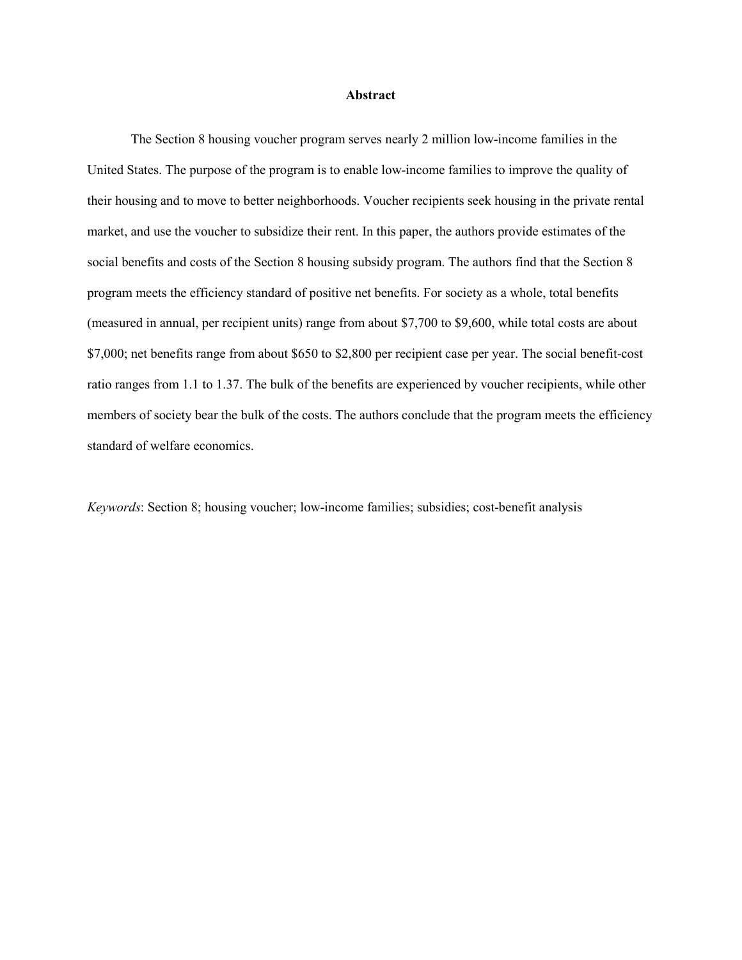#### **Abstract**

The Section 8 housing voucher program serves nearly 2 million low-income families in the United States. The purpose of the program is to enable low-income families to improve the quality of their housing and to move to better neighborhoods. Voucher recipients seek housing in the private rental market, and use the voucher to subsidize their rent. In this paper, the authors provide estimates of the social benefits and costs of the Section 8 housing subsidy program. The authors find that the Section 8 program meets the efficiency standard of positive net benefits. For society as a whole, total benefits (measured in annual, per recipient units) range from about \$7,700 to \$9,600, while total costs are about \$7,000; net benefits range from about \$650 to \$2,800 per recipient case per year. The social benefit-cost ratio ranges from 1.1 to 1.37. The bulk of the benefits are experienced by voucher recipients, while other members of society bear the bulk of the costs. The authors conclude that the program meets the efficiency standard of welfare economics.

*Keywords*: Section 8; housing voucher; low-income families; subsidies; cost-benefit analysis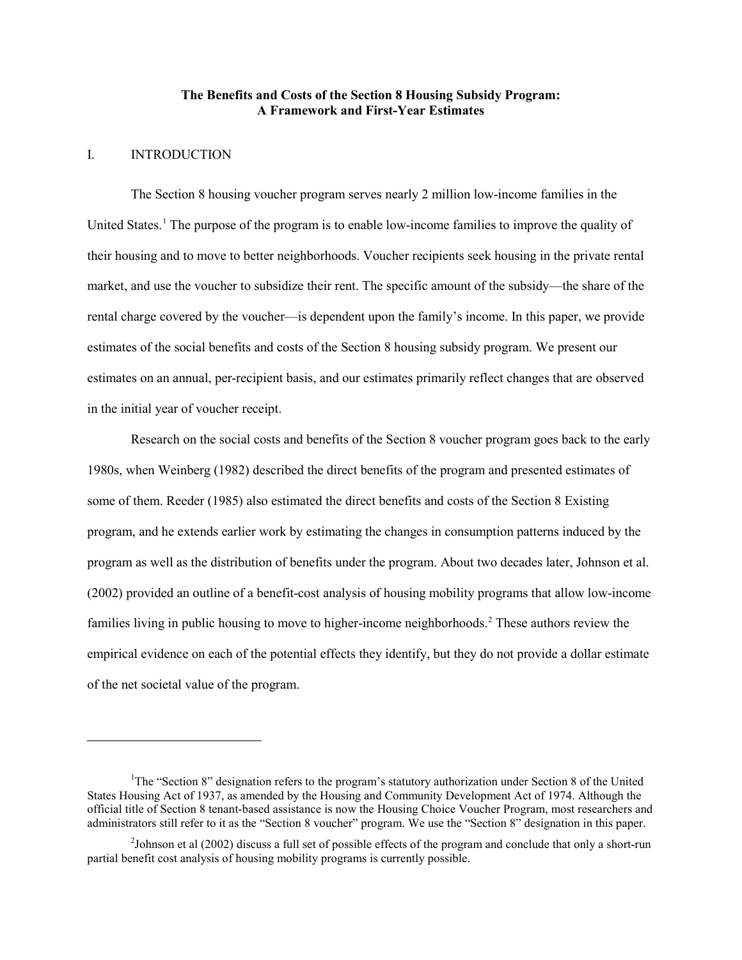### **The Benefits and Costs of the Section 8 Housing Subsidy Program: A Framework and First-Year Estimates**

# I. INTRODUCTION

 $\overline{a}$ 

The Section 8 housing voucher program serves nearly 2 million low-income families in the United States.<sup>[1](#page-2-0)</sup> The purpose of the program is to enable low-income families to improve the quality of their housing and to move to better neighborhoods. Voucher recipients seek housing in the private rental market, and use the voucher to subsidize their rent. The specific amount of the subsidy—the share of the rental charge covered by the voucher—is dependent upon the family's income. In this paper, we provide estimates of the social benefits and costs of the Section 8 housing subsidy program. We present our estimates on an annual, per-recipient basis, and our estimates primarily reflect changes that are observed in the initial year of voucher receipt.

Research on the social costs and benefits of the Section 8 voucher program goes back to the early 1980s, when Weinberg (1982) described the direct benefits of the program and presented estimates of some of them. Reeder (1985) also estimated the direct benefits and costs of the Section 8 Existing program, and he extends earlier work by estimating the changes in consumption patterns induced by the program as well as the distribution of benefits under the program. About two decades later, Johnson et al. (2002) provided an outline of a benefit-cost analysis of housing mobility programs that allow low-income families living in public housing to move to higher-income neighborhoods.<sup>[2](#page-2-1)</sup> These authors review the empirical evidence on each of the potential effects they identify, but they do not provide a dollar estimate of the net societal value of the program.

<span id="page-2-0"></span><sup>&</sup>lt;sup>1</sup>The "Section 8" designation refers to the program's statutory authorization under Section 8 of the United States Housing Act of 1937, as amended by the Housing and Community Development Act of 1974. Although the official title of Section 8 tenant-based assistance is now the Housing Choice Voucher Program, most researchers and administrators still refer to it as the "Section 8 voucher" program. We use the "Section 8" designation in this paper.

<span id="page-2-1"></span> $2$ Johnson et al (2002) discuss a full set of possible effects of the program and conclude that only a short-run partial benefit cost analysis of housing mobility programs is currently possible.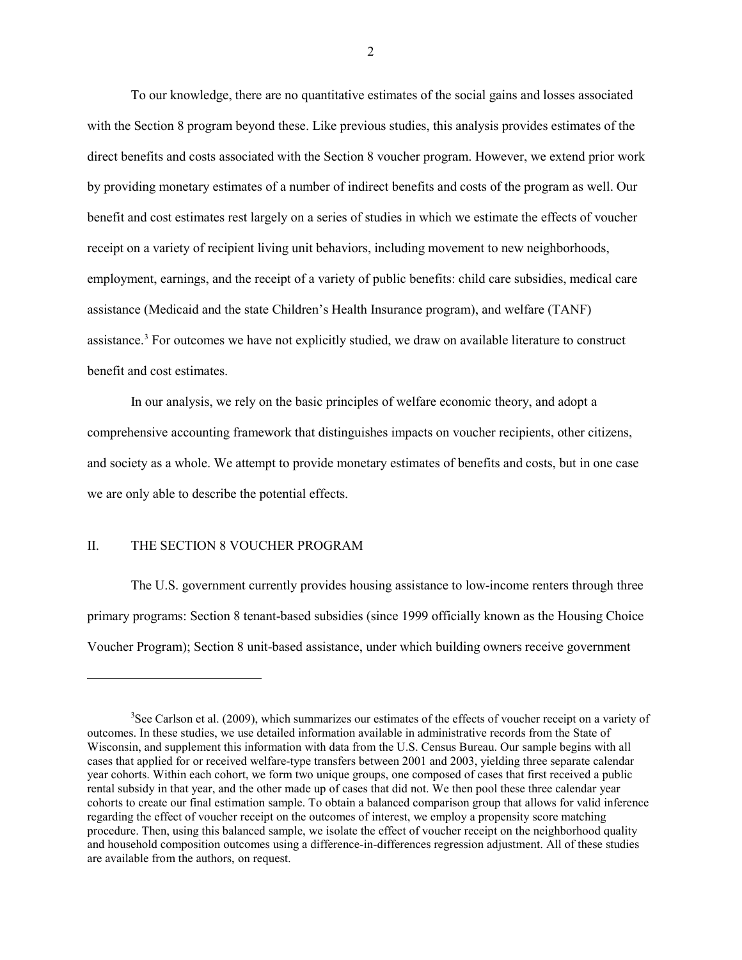To our knowledge, there are no quantitative estimates of the social gains and losses associated with the Section 8 program beyond these. Like previous studies, this analysis provides estimates of the direct benefits and costs associated with the Section 8 voucher program. However, we extend prior work by providing monetary estimates of a number of indirect benefits and costs of the program as well. Our benefit and cost estimates rest largely on a series of studies in which we estimate the effects of voucher receipt on a variety of recipient living unit behaviors, including movement to new neighborhoods, employment, earnings, and the receipt of a variety of public benefits: child care subsidies, medical care assistance (Medicaid and the state Children's Health Insurance program), and welfare (TANF) assistance.<sup>[3](#page-3-0)</sup> For outcomes we have not explicitly studied, we draw on available literature to construct benefit and cost estimates.

In our analysis, we rely on the basic principles of welfare economic theory, and adopt a comprehensive accounting framework that distinguishes impacts on voucher recipients, other citizens, and society as a whole. We attempt to provide monetary estimates of benefits and costs, but in one case we are only able to describe the potential effects.

#### II. THE SECTION 8 VOUCHER PROGRAM

 $\overline{a}$ 

The U.S. government currently provides housing assistance to low-income renters through three primary programs: Section 8 tenant-based subsidies (since 1999 officially known as the Housing Choice Voucher Program); Section 8 unit-based assistance, under which building owners receive government

<span id="page-3-0"></span><sup>&</sup>lt;sup>3</sup>See Carlson et al. (2009), which summarizes our estimates of the effects of voucher receipt on a variety of outcomes. In these studies, we use detailed information available in administrative records from the State of Wisconsin, and supplement this information with data from the U.S. Census Bureau. Our sample begins with all cases that applied for or received welfare-type transfers between 2001 and 2003, yielding three separate calendar year cohorts. Within each cohort, we form two unique groups, one composed of cases that first received a public rental subsidy in that year, and the other made up of cases that did not. We then pool these three calendar year cohorts to create our final estimation sample. To obtain a balanced comparison group that allows for valid inference regarding the effect of voucher receipt on the outcomes of interest, we employ a propensity score matching procedure. Then, using this balanced sample, we isolate the effect of voucher receipt on the neighborhood quality and household composition outcomes using a difference-in-differences regression adjustment. All of these studies are available from the authors, on request.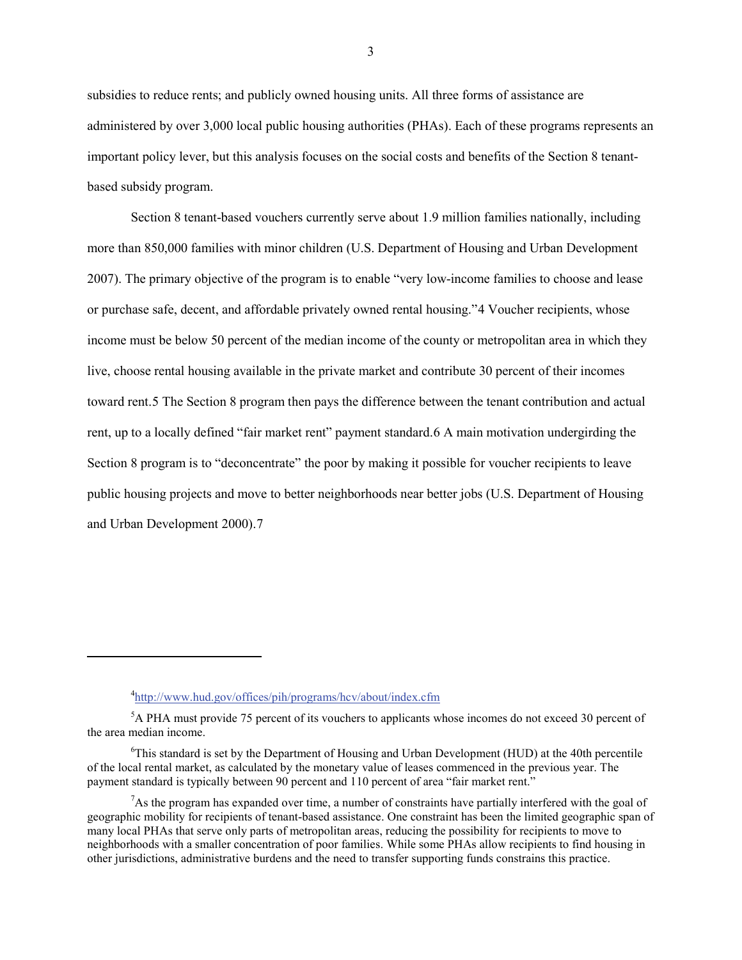subsidies to reduce rents; and publicly owned housing units. All three forms of assistance are administered by over 3,000 local public housing authorities (PHAs). Each of these programs represents an important policy lever, but this analysis focuses on the social costs and benefits of the Section 8 tenantbased subsidy program.

Section 8 tenant-based vouchers currently serve about 1.9 million families nationally, including more than 850,000 families with minor children (U.S. Department of Housing and Urban Development 2007). The primary objective of the program is to enable "very low-income families to choose and lease or purchase safe, decent, and affordable privately owned rental housing."[4](#page-4-0) Voucher recipients, whose income must be below 50 percent of the median income of the county or metropolitan area in which they live, choose rental housing available in the private market and contribute 30 percent of their incomes toward rent.[5](#page-4-1) The Section 8 program then pays the difference between the tenant contribution and actual rent, up to a locally defined "fair market rent" payment standard.[6](#page-4-2) A main motivation undergirding the Section 8 program is to "deconcentrate" the poor by making it possible for voucher recipients to leave public housing projects and move to better neighborhoods near better jobs (U.S. Department of Housing and Urban Development 2000).[7](#page-4-3)

 $\overline{a}$ 

<sup>&</sup>lt;sup>4</sup><http://www.hud.gov/offices/pih/programs/hcv/about/index.cfm>

<span id="page-4-1"></span><span id="page-4-0"></span><sup>&</sup>lt;sup>5</sup>A PHA must provide 75 percent of its vouchers to applicants whose incomes do not exceed 30 percent of the area median income.

<span id="page-4-2"></span><sup>&</sup>lt;sup>6</sup>This standard is set by the Department of Housing and Urban Development (HUD) at the 40th percentile of the local rental market, as calculated by the monetary value of leases commenced in the previous year. The payment standard is typically between 90 percent and 110 percent of area "fair market rent."

<span id="page-4-3"></span> $7$ As the program has expanded over time, a number of constraints have partially interfered with the goal of geographic mobility for recipients of tenant-based assistance. One constraint has been the limited geographic span of many local PHAs that serve only parts of metropolitan areas, reducing the possibility for recipients to move to neighborhoods with a smaller concentration of poor families. While some PHAs allow recipients to find housing in other jurisdictions, administrative burdens and the need to transfer supporting funds constrains this practice.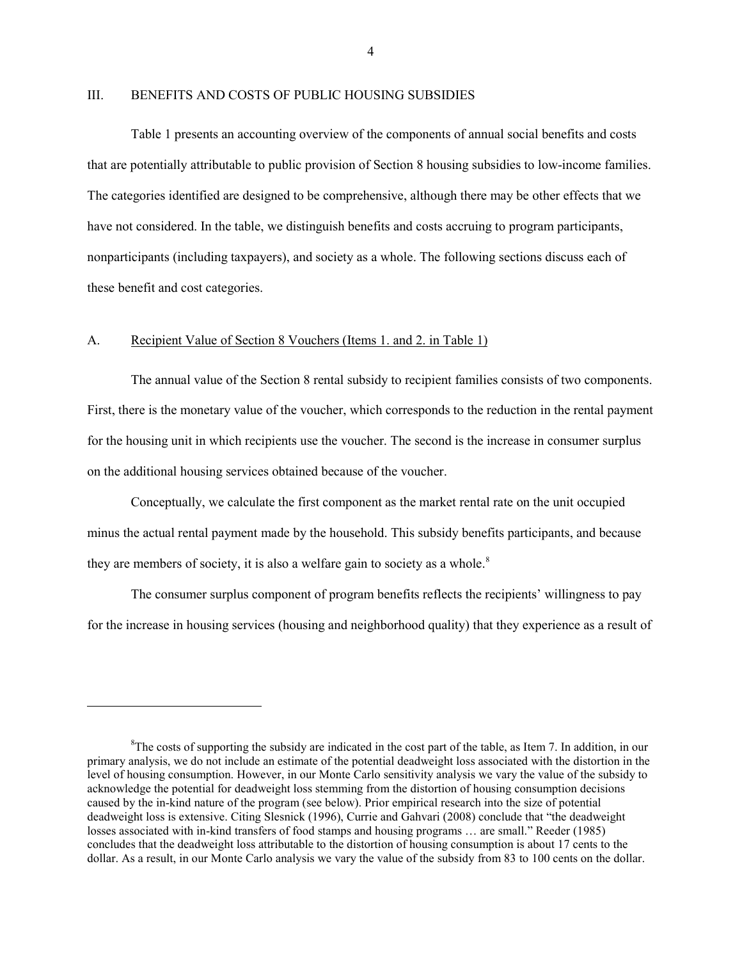### III. BENEFITS AND COSTS OF PUBLIC HOUSING SUBSIDIES

Table 1 presents an accounting overview of the components of annual social benefits and costs that are potentially attributable to public provision of Section 8 housing subsidies to low-income families. The categories identified are designed to be comprehensive, although there may be other effects that we have not considered. In the table, we distinguish benefits and costs accruing to program participants, nonparticipants (including taxpayers), and society as a whole. The following sections discuss each of these benefit and cost categories.

# A. Recipient Value of Section 8 Vouchers (Items 1. and 2. in Table 1)

 $\overline{a}$ 

The annual value of the Section 8 rental subsidy to recipient families consists of two components. First, there is the monetary value of the voucher, which corresponds to the reduction in the rental payment for the housing unit in which recipients use the voucher. The second is the increase in consumer surplus on the additional housing services obtained because of the voucher.

Conceptually, we calculate the first component as the market rental rate on the unit occupied minus the actual rental payment made by the household. This subsidy benefits participants, and because they are members of society, it is also a welfare gain to society as a whole.<sup>[8](#page-5-0)</sup>

The consumer surplus component of program benefits reflects the recipients' willingness to pay for the increase in housing services (housing and neighborhood quality) that they experience as a result of

<span id="page-5-0"></span><sup>&</sup>lt;sup>8</sup>The costs of supporting the subsidy are indicated in the cost part of the table, as Item 7. In addition, in our primary analysis, we do not include an estimate of the potential deadweight loss associated with the distortion in the level of housing consumption. However, in our Monte Carlo sensitivity analysis we vary the value of the subsidy to acknowledge the potential for deadweight loss stemming from the distortion of housing consumption decisions caused by the in-kind nature of the program (see below). Prior empirical research into the size of potential deadweight loss is extensive. Citing Slesnick (1996), Currie and Gahvari (2008) conclude that "the deadweight losses associated with in-kind transfers of food stamps and housing programs … are small." Reeder (1985) concludes that the deadweight loss attributable to the distortion of housing consumption is about 17 cents to the dollar. As a result, in our Monte Carlo analysis we vary the value of the subsidy from 83 to 100 cents on the dollar.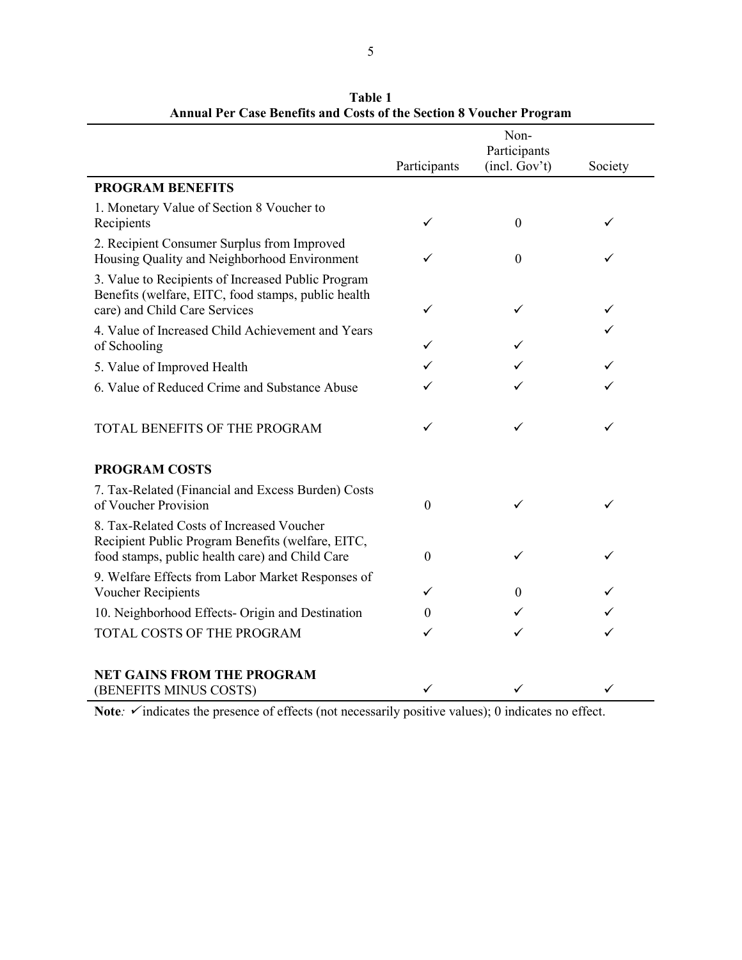|                                                                                                                                                   | Participants     | Non-<br>Participants<br>(incl. Gov't) | Society |
|---------------------------------------------------------------------------------------------------------------------------------------------------|------------------|---------------------------------------|---------|
| <b>PROGRAM BENEFITS</b>                                                                                                                           |                  |                                       |         |
| 1. Monetary Value of Section 8 Voucher to<br>Recipients                                                                                           | ✓                | $\mathbf{0}$                          | ✓       |
| 2. Recipient Consumer Surplus from Improved<br>Housing Quality and Neighborhood Environment                                                       |                  | $\mathbf{0}$                          |         |
| 3. Value to Recipients of Increased Public Program<br>Benefits (welfare, EITC, food stamps, public health<br>care) and Child Care Services        | ✓                | ✓                                     | ✓       |
| 4. Value of Increased Child Achievement and Years<br>of Schooling                                                                                 | ✓                |                                       | ✓       |
| 5. Value of Improved Health                                                                                                                       | ✓                |                                       |         |
| 6. Value of Reduced Crime and Substance Abuse                                                                                                     |                  |                                       |         |
| TOTAL BENEFITS OF THE PROGRAM                                                                                                                     | ✓                | ✓                                     | ✓       |
| <b>PROGRAM COSTS</b>                                                                                                                              |                  |                                       |         |
| 7. Tax-Related (Financial and Excess Burden) Costs<br>of Voucher Provision                                                                        | $\boldsymbol{0}$ | ✓                                     | ✓       |
| 8. Tax-Related Costs of Increased Voucher<br>Recipient Public Program Benefits (welfare, EITC,<br>food stamps, public health care) and Child Care | $\boldsymbol{0}$ | ✓                                     | ✓       |
| 9. Welfare Effects from Labor Market Responses of<br>Voucher Recipients                                                                           | ✓                | $\mathbf{0}$                          |         |
| 10. Neighborhood Effects- Origin and Destination                                                                                                  | $\theta$         | ✓                                     |         |
| TOTAL COSTS OF THE PROGRAM                                                                                                                        | ✓                | ✓                                     | ✓       |
| <b>NET GAINS FROM THE PROGRAM</b><br>(BENEFITS MINUS COSTS)                                                                                       | ✓                | ✓                                     | ✓       |

**Table 1 Annual Per Case Benefits and Costs of the Section 8 Voucher Program**

Note:  $\checkmark$  indicates the presence of effects (not necessarily positive values); 0 indicates no effect.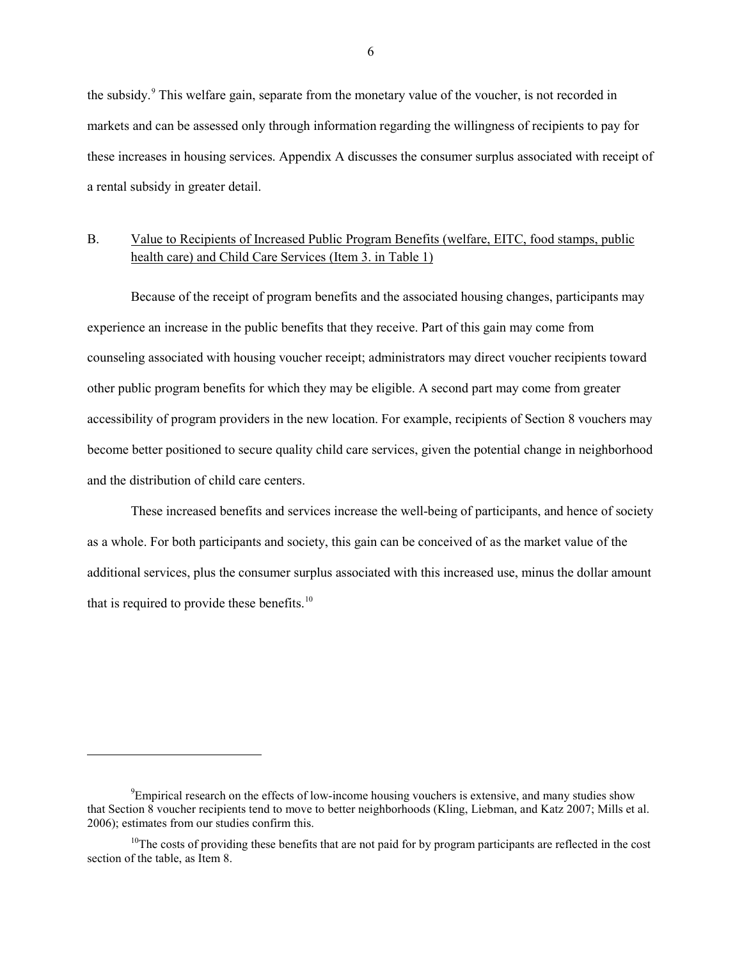the subsidy.<sup>[9](#page-7-0)</sup> This welfare gain, separate from the monetary value of the voucher, is not recorded in markets and can be assessed only through information regarding the willingness of recipients to pay for these increases in housing services. Appendix A discusses the consumer surplus associated with receipt of a rental subsidy in greater detail.

# B. Value to Recipients of Increased Public Program Benefits (welfare, EITC, food stamps, public health care) and Child Care Services (Item 3. in Table 1)

Because of the receipt of program benefits and the associated housing changes, participants may experience an increase in the public benefits that they receive. Part of this gain may come from counseling associated with housing voucher receipt; administrators may direct voucher recipients toward other public program benefits for which they may be eligible. A second part may come from greater accessibility of program providers in the new location. For example, recipients of Section 8 vouchers may become better positioned to secure quality child care services, given the potential change in neighborhood and the distribution of child care centers.

These increased benefits and services increase the well-being of participants, and hence of society as a whole. For both participants and society, this gain can be conceived of as the market value of the additional services, plus the consumer surplus associated with this increased use, minus the dollar amount that is required to provide these benefits. $10$ 

<span id="page-7-0"></span><sup>&</sup>lt;sup>9</sup>Empirical research on the effects of low-income housing vouchers is extensive, and many studies show that Section 8 voucher recipients tend to move to better neighborhoods (Kling, Liebman, and Katz 2007; Mills et al. 2006); estimates from our studies confirm this.

<span id="page-7-1"></span> $10$ The costs of providing these benefits that are not paid for by program participants are reflected in the cost section of the table, as Item 8.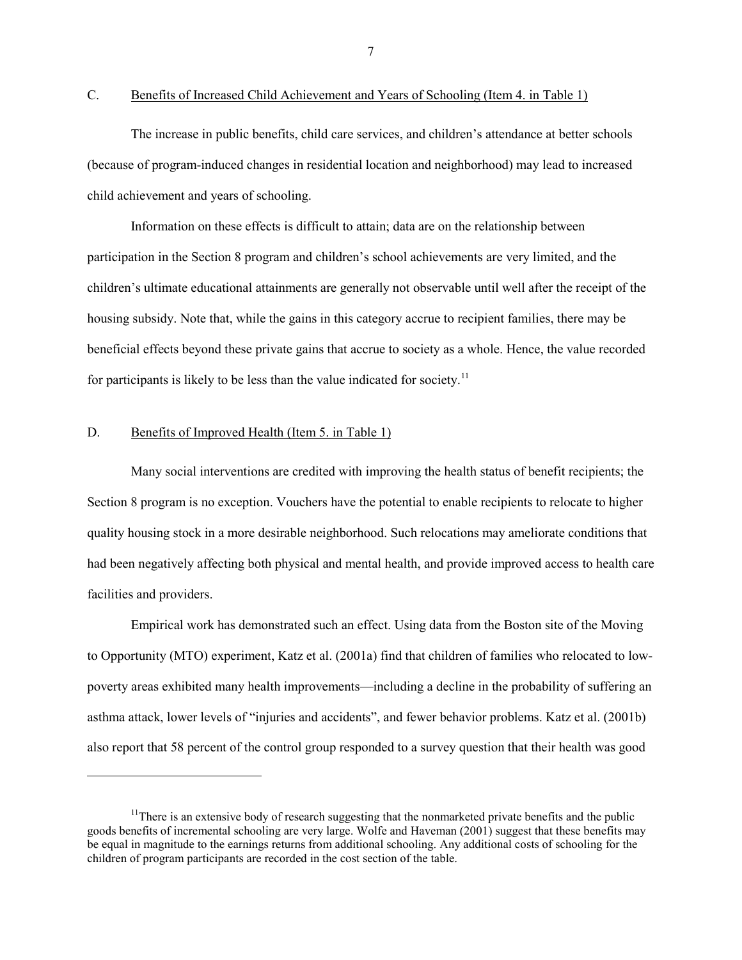$\overline{a}$ 

C. Benefits of Increased Child Achievement and Years of Schooling (Item 4. in Table 1)

The increase in public benefits, child care services, and children's attendance at better schools (because of program-induced changes in residential location and neighborhood) may lead to increased child achievement and years of schooling.

Information on these effects is difficult to attain; data are on the relationship between participation in the Section 8 program and children's school achievements are very limited, and the children's ultimate educational attainments are generally not observable until well after the receipt of the housing subsidy. Note that, while the gains in this category accrue to recipient families, there may be beneficial effects beyond these private gains that accrue to society as a whole. Hence, the value recorded for participants is likely to be less than the value indicated for society.<sup>[11](#page-8-0)</sup>

#### D. Benefits of Improved Health (Item 5. in Table 1)

Many social interventions are credited with improving the health status of benefit recipients; the Section 8 program is no exception. Vouchers have the potential to enable recipients to relocate to higher quality housing stock in a more desirable neighborhood. Such relocations may ameliorate conditions that had been negatively affecting both physical and mental health, and provide improved access to health care facilities and providers.

Empirical work has demonstrated such an effect. Using data from the Boston site of the Moving to Opportunity (MTO) experiment, Katz et al. (2001a) find that children of families who relocated to lowpoverty areas exhibited many health improvements—including a decline in the probability of suffering an asthma attack, lower levels of "injuries and accidents", and fewer behavior problems. Katz et al. (2001b) also report that 58 percent of the control group responded to a survey question that their health was good

<span id="page-8-0"></span><sup>&</sup>lt;sup>11</sup>There is an extensive body of research suggesting that the nonmarketed private benefits and the public goods benefits of incremental schooling are very large. Wolfe and Haveman (2001) suggest that these benefits may be equal in magnitude to the earnings returns from additional schooling. Any additional costs of schooling for the children of program participants are recorded in the cost section of the table.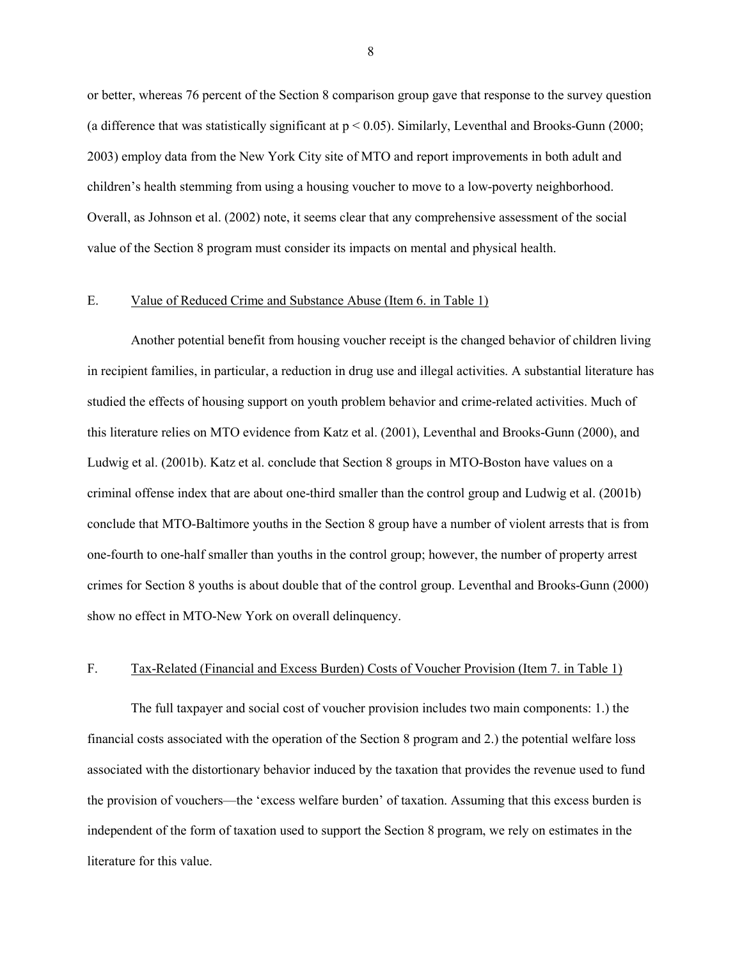or better, whereas 76 percent of the Section 8 comparison group gave that response to the survey question (a difference that was statistically significant at  $p < 0.05$ ). Similarly, Leventhal and Brooks-Gunn (2000; 2003) employ data from the New York City site of MTO and report improvements in both adult and children's health stemming from using a housing voucher to move to a low-poverty neighborhood. Overall, as Johnson et al. (2002) note, it seems clear that any comprehensive assessment of the social value of the Section 8 program must consider its impacts on mental and physical health.

# E. Value of Reduced Crime and Substance Abuse (Item 6. in Table 1)

Another potential benefit from housing voucher receipt is the changed behavior of children living in recipient families, in particular, a reduction in drug use and illegal activities. A substantial literature has studied the effects of housing support on youth problem behavior and crime-related activities. Much of this literature relies on MTO evidence from Katz et al. (2001), Leventhal and Brooks-Gunn (2000), and Ludwig et al. (2001b). Katz et al. conclude that Section 8 groups in MTO-Boston have values on a criminal offense index that are about one-third smaller than the control group and Ludwig et al. (2001b) conclude that MTO-Baltimore youths in the Section 8 group have a number of violent arrests that is from one-fourth to one-half smaller than youths in the control group; however, the number of property arrest crimes for Section 8 youths is about double that of the control group. Leventhal and Brooks-Gunn (2000) show no effect in MTO-New York on overall delinquency.

# F. Tax-Related (Financial and Excess Burden) Costs of Voucher Provision (Item 7. in Table 1)

The full taxpayer and social cost of voucher provision includes two main components: 1.) the financial costs associated with the operation of the Section 8 program and 2.) the potential welfare loss associated with the distortionary behavior induced by the taxation that provides the revenue used to fund the provision of vouchers—the 'excess welfare burden' of taxation. Assuming that this excess burden is independent of the form of taxation used to support the Section 8 program, we rely on estimates in the literature for this value.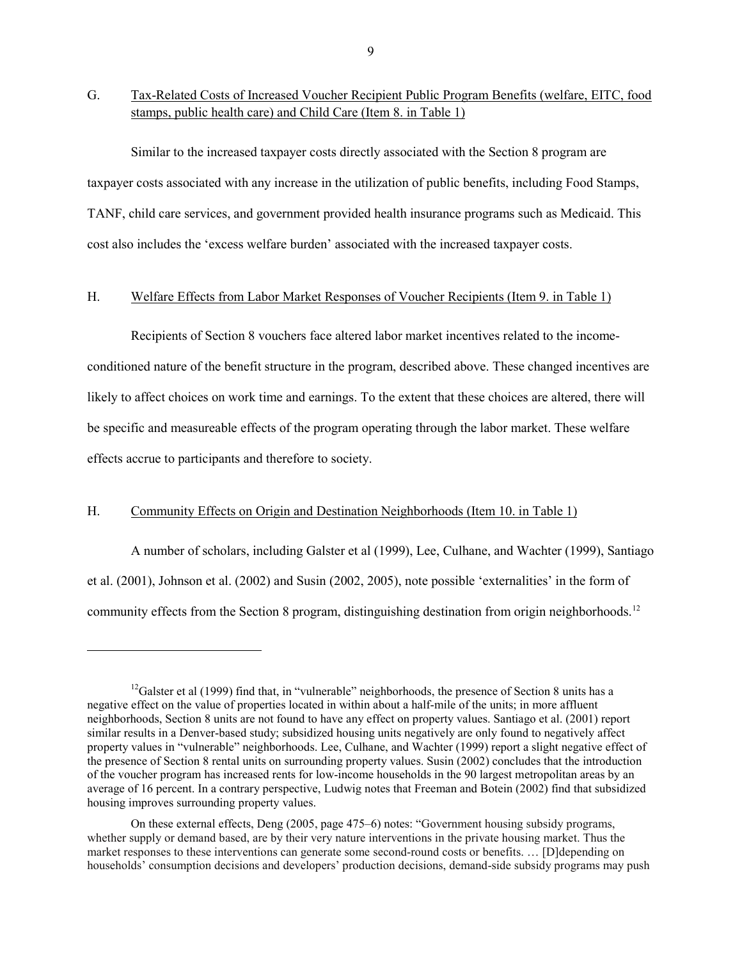G. Tax-Related Costs of Increased Voucher Recipient Public Program Benefits (welfare, EITC, food stamps, public health care) and Child Care (Item 8. in Table 1)

Similar to the increased taxpayer costs directly associated with the Section 8 program are taxpayer costs associated with any increase in the utilization of public benefits, including Food Stamps, TANF, child care services, and government provided health insurance programs such as Medicaid. This cost also includes the 'excess welfare burden' associated with the increased taxpayer costs.

# H. Welfare Effects from Labor Market Responses of Voucher Recipients (Item 9. in Table 1)

Recipients of Section 8 vouchers face altered labor market incentives related to the incomeconditioned nature of the benefit structure in the program, described above. These changed incentives are likely to affect choices on work time and earnings. To the extent that these choices are altered, there will be specific and measureable effects of the program operating through the labor market. These welfare effects accrue to participants and therefore to society.

# H. Community Effects on Origin and Destination Neighborhoods (Item 10. in Table 1)

 $\overline{a}$ 

A number of scholars, including Galster et al (1999), Lee, Culhane, and Wachter (1999), Santiago et al. (2001), Johnson et al. (2002) and Susin (2002, 2005), note possible 'externalities' in the form of community effects from the Section 8 program, distinguishing destination from origin neighborhoods.<sup>[12](#page-10-0)</sup>

<span id="page-10-0"></span><sup>&</sup>lt;sup>12</sup>Galster et al (1999) find that, in "vulnerable" neighborhoods, the presence of Section 8 units has a negative effect on the value of properties located in within about a half-mile of the units; in more affluent neighborhoods, Section 8 units are not found to have any effect on property values. Santiago et al. (2001) report similar results in a Denver-based study; subsidized housing units negatively are only found to negatively affect property values in "vulnerable" neighborhoods. Lee, Culhane, and Wachter (1999) report a slight negative effect of the presence of Section 8 rental units on surrounding property values. Susin (2002) concludes that the introduction of the voucher program has increased rents for low-income households in the 90 largest metropolitan areas by an average of 16 percent. In a contrary perspective, Ludwig notes that Freeman and Botein (2002) find that subsidized housing improves surrounding property values.

On these external effects, Deng (2005, page 475–6) notes: "Government housing subsidy programs, whether supply or demand based, are by their very nature interventions in the private housing market. Thus the market responses to these interventions can generate some second-round costs or benefits. … [D]depending on households' consumption decisions and developers' production decisions, demand-side subsidy programs may push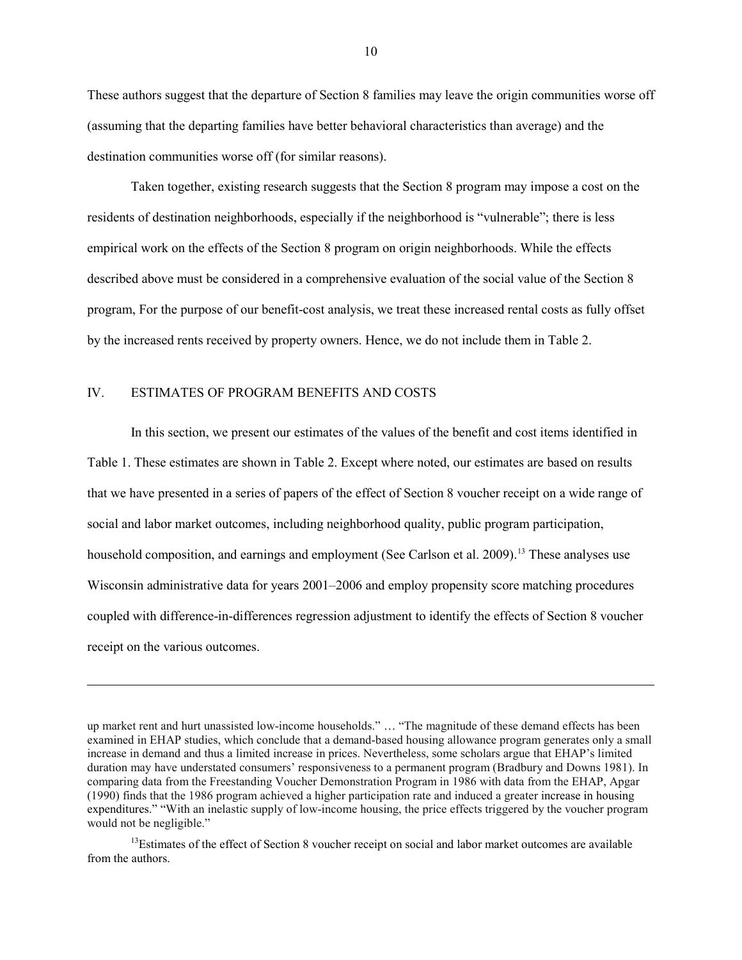These authors suggest that the departure of Section 8 families may leave the origin communities worse off (assuming that the departing families have better behavioral characteristics than average) and the destination communities worse off (for similar reasons).

Taken together, existing research suggests that the Section 8 program may impose a cost on the residents of destination neighborhoods, especially if the neighborhood is "vulnerable"; there is less empirical work on the effects of the Section 8 program on origin neighborhoods. While the effects described above must be considered in a comprehensive evaluation of the social value of the Section 8 program, For the purpose of our benefit-cost analysis, we treat these increased rental costs as fully offset by the increased rents received by property owners. Hence, we do not include them in Table 2.

# IV. ESTIMATES OF PROGRAM BENEFITS AND COSTS

 $\overline{a}$ 

In this section, we present our estimates of the values of the benefit and cost items identified in Table 1. These estimates are shown in Table 2. Except where noted, our estimates are based on results that we have presented in a series of papers of the effect of Section 8 voucher receipt on a wide range of social and labor market outcomes, including neighborhood quality, public program participation, household composition, and earnings and employment (See Carlson et al. 2009).<sup>[13](#page-11-0)</sup> These analyses use Wisconsin administrative data for years 2001–2006 and employ propensity score matching procedures coupled with difference-in-differences regression adjustment to identify the effects of Section 8 voucher receipt on the various outcomes.

<span id="page-11-0"></span> $13$ Estimates of the effect of Section 8 voucher receipt on social and labor market outcomes are available from the authors.

up market rent and hurt unassisted low-income households." … "The magnitude of these demand effects has been examined in EHAP studies, which conclude that a demand-based housing allowance program generates only a small increase in demand and thus a limited increase in prices. Nevertheless, some scholars argue that EHAP's limited duration may have understated consumers' responsiveness to a permanent program (Bradbury and Downs 1981). In comparing data from the Freestanding Voucher Demonstration Program in 1986 with data from the EHAP, Apgar (1990) finds that the 1986 program achieved a higher participation rate and induced a greater increase in housing expenditures." "With an inelastic supply of low-income housing, the price effects triggered by the voucher program would not be negligible."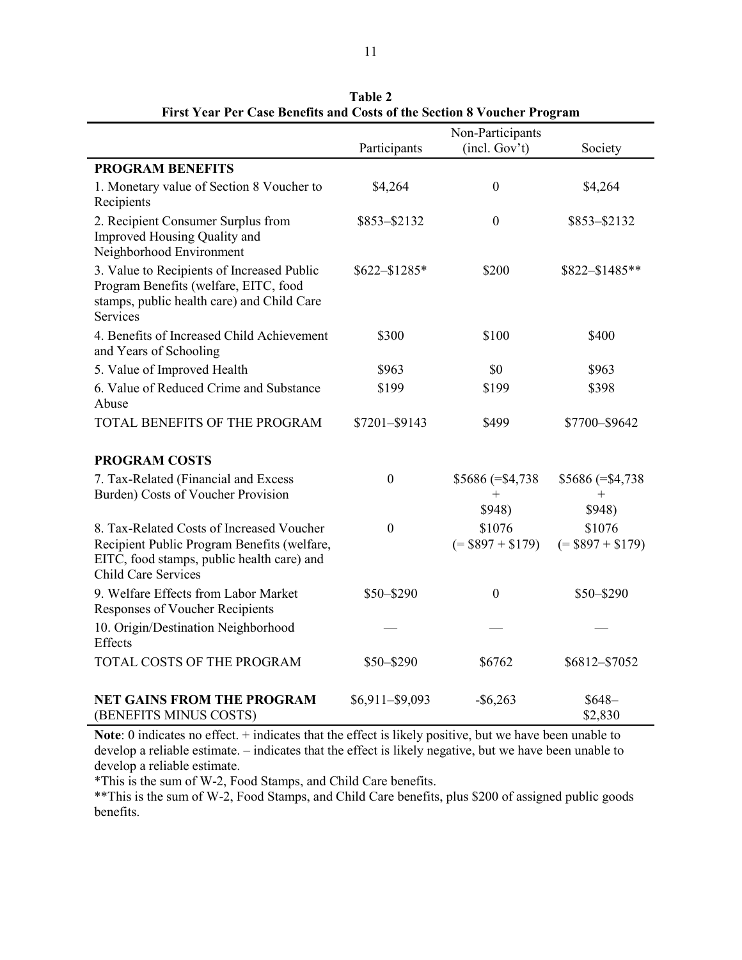|                                                                                                                                                                      | Participants      | Non-Participants<br>(incl. Gov't) | Society                      |
|----------------------------------------------------------------------------------------------------------------------------------------------------------------------|-------------------|-----------------------------------|------------------------------|
|                                                                                                                                                                      |                   |                                   |                              |
| <b>PROGRAM BENEFITS</b>                                                                                                                                              |                   |                                   |                              |
| 1. Monetary value of Section 8 Voucher to                                                                                                                            | \$4,264           | $\boldsymbol{0}$                  | \$4,264                      |
| Recipients                                                                                                                                                           |                   |                                   |                              |
| 2. Recipient Consumer Surplus from<br>Improved Housing Quality and<br>Neighborhood Environment                                                                       | \$853-\$2132      | $\boldsymbol{0}$                  | \$853-\$2132                 |
| 3. Value to Recipients of Increased Public<br>Program Benefits (welfare, EITC, food<br>stamps, public health care) and Child Care<br>Services                        | $$622 - $1285*$   | \$200                             | $$822 - $1485**$             |
| 4. Benefits of Increased Child Achievement<br>and Years of Schooling                                                                                                 | \$300             | \$100                             | \$400                        |
| 5. Value of Improved Health                                                                                                                                          | \$963             | \$0                               | \$963                        |
| 6. Value of Reduced Crime and Substance<br>Abuse                                                                                                                     | \$199             | \$199                             | \$398                        |
| TOTAL BENEFITS OF THE PROGRAM                                                                                                                                        | \$7201-\$9143     | \$499                             | \$7700-\$9642                |
| <b>PROGRAM COSTS</b>                                                                                                                                                 |                   |                                   |                              |
| 7. Tax-Related (Financial and Excess<br>Burden) Costs of Voucher Provision                                                                                           | $\mathbf{0}$      | $$5686 (= $4,738)$<br>$^{+}$      | $$5686 (= $4,738)$<br>$^{+}$ |
|                                                                                                                                                                      |                   | \$948)                            | \$948)                       |
| 8. Tax-Related Costs of Increased Voucher<br>Recipient Public Program Benefits (welfare,<br>EITC, food stamps, public health care) and<br><b>Child Care Services</b> | $\boldsymbol{0}$  | \$1076<br>$(=$ \$897 + \$179)     | \$1076<br>$( = $897 + $179)$ |
| 9. Welfare Effects from Labor Market<br><b>Responses of Voucher Recipients</b>                                                                                       | \$50-\$290        | $\theta$                          | $$50 - $290$                 |
| 10. Origin/Destination Neighborhood<br>Effects                                                                                                                       |                   |                                   |                              |
| TOTAL COSTS OF THE PROGRAM                                                                                                                                           | \$50-\$290        | \$6762                            | \$6812-\$7052                |
| <b>NET GAINS FROM THE PROGRAM</b><br>(BENEFITS MINUS COSTS)                                                                                                          | $$6,911 - $9,093$ | $-$ \$6,263                       | $$648-$<br>\$2,830           |

**Table 2 First Year Per Case Benefits and Costs of the Section 8 Voucher Program**

**Note**: 0 indicates no effect. + indicates that the effect is likely positive, but we have been unable to develop a reliable estimate. – indicates that the effect is likely negative, but we have been unable to develop a reliable estimate.

\*This is the sum of W-2, Food Stamps, and Child Care benefits.

\*\*This is the sum of W-2, Food Stamps, and Child Care benefits, plus \$200 of assigned public goods benefits.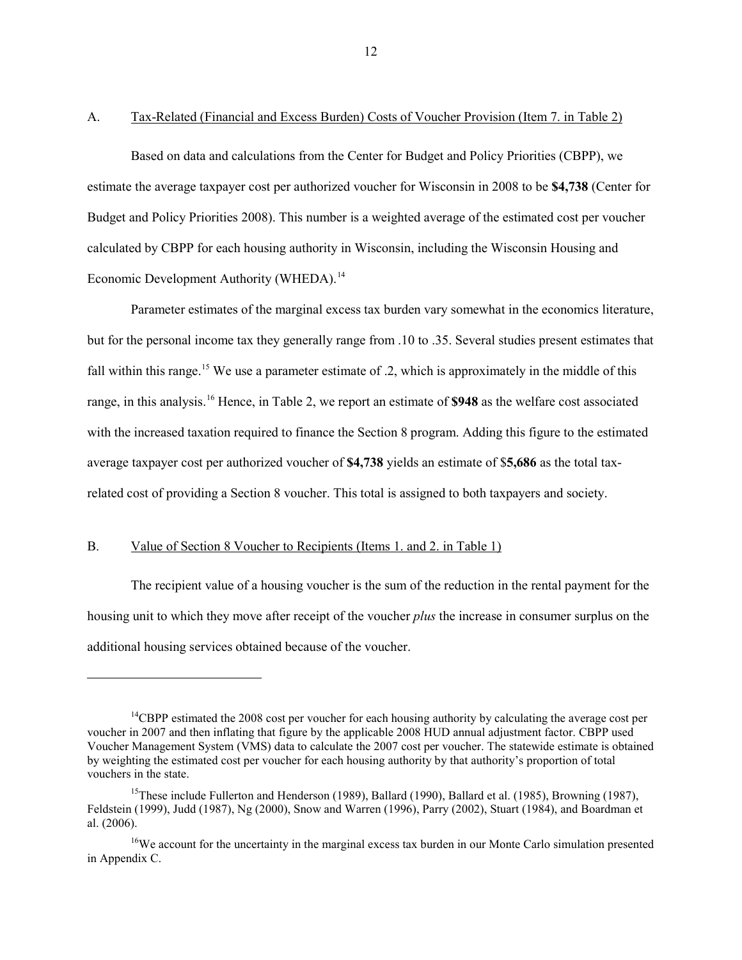A. Tax-Related (Financial and Excess Burden) Costs of Voucher Provision (Item 7. in Table 2)

Based on data and calculations from the Center for Budget and Policy Priorities (CBPP), we estimate the average taxpayer cost per authorized voucher for Wisconsin in 2008 to be **\$4,738** (Center for Budget and Policy Priorities 2008). This number is a weighted average of the estimated cost per voucher calculated by CBPP for each housing authority in Wisconsin, including the Wisconsin Housing and Economic Development Authority (WHEDA).<sup>[14](#page-13-0)</sup>

Parameter estimates of the marginal excess tax burden vary somewhat in the economics literature, but for the personal income tax they generally range from .10 to .35. Several studies present estimates that fall within this range.<sup>[15](#page-13-1)</sup> We use a parameter estimate of .2, which is approximately in the middle of this range, in this analysis.[16](#page-13-2) Hence, in Table 2, we report an estimate of **\$948** as the welfare cost associated with the increased taxation required to finance the Section 8 program. Adding this figure to the estimated average taxpayer cost per authorized voucher of **\$4,738** yields an estimate of \$**5,686** as the total taxrelated cost of providing a Section 8 voucher. This total is assigned to both taxpayers and society.

# B. Value of Section 8 Voucher to Recipients (Items 1. and 2. in Table 1)

 $\overline{a}$ 

The recipient value of a housing voucher is the sum of the reduction in the rental payment for the housing unit to which they move after receipt of the voucher *plus* the increase in consumer surplus on the additional housing services obtained because of the voucher.

<span id="page-13-0"></span><sup>&</sup>lt;sup>14</sup>CBPP estimated the 2008 cost per voucher for each housing authority by calculating the average cost per voucher in 2007 and then inflating that figure by the applicable 2008 HUD annual adjustment factor. CBPP used Voucher Management System (VMS) data to calculate the 2007 cost per voucher. The statewide estimate is obtained by weighting the estimated cost per voucher for each housing authority by that authority's proportion of total vouchers in the state.

<span id="page-13-1"></span><sup>&</sup>lt;sup>15</sup>These include Fullerton and Henderson (1989), Ballard (1990), Ballard et al. (1985), Browning (1987), Feldstein (1999), Judd (1987), Ng (2000), Snow and Warren (1996), Parry (2002), Stuart (1984), and Boardman et al. (2006).

<span id="page-13-2"></span><sup>&</sup>lt;sup>16</sup>We account for the uncertainty in the marginal excess tax burden in our Monte Carlo simulation presented in Appendix C.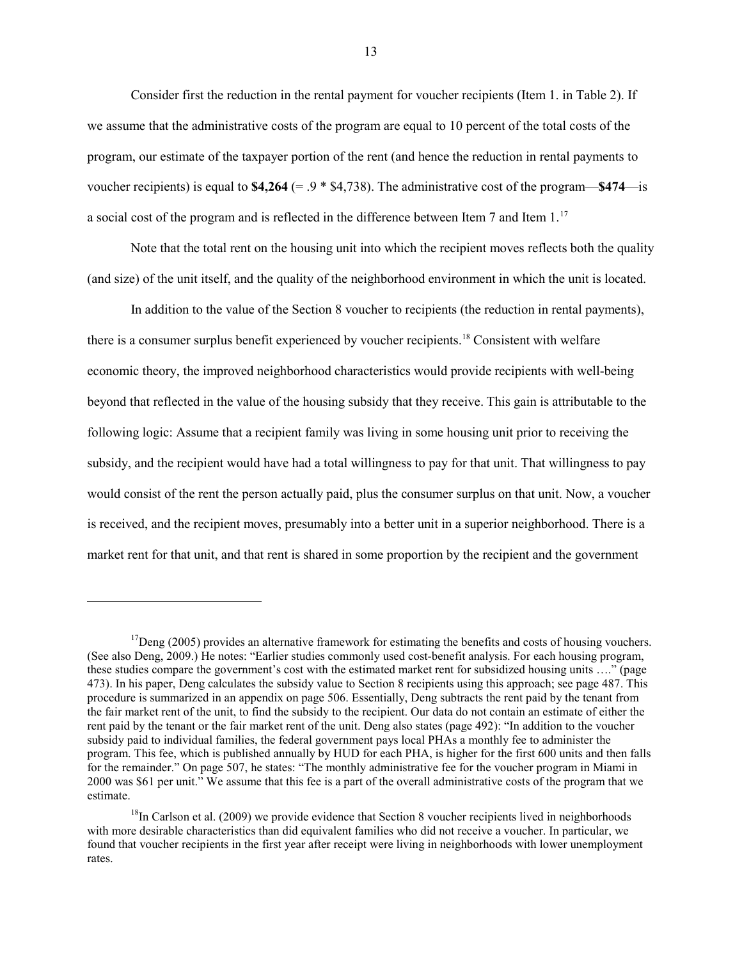Consider first the reduction in the rental payment for voucher recipients (Item 1. in Table 2). If we assume that the administrative costs of the program are equal to 10 percent of the total costs of the program, our estimate of the taxpayer portion of the rent (and hence the reduction in rental payments to voucher recipients) is equal to **\$4,264** (= .9 \* \$4,738). The administrative cost of the program—**\$474**—is a social cost of the program and is reflected in the difference between Item 7 and Item 1.<sup>[17](#page-14-0)</sup>

Note that the total rent on the housing unit into which the recipient moves reflects both the quality (and size) of the unit itself, and the quality of the neighborhood environment in which the unit is located.

In addition to the value of the Section 8 voucher to recipients (the reduction in rental payments), there is a consumer surplus benefit experienced by voucher recipients.<sup>[18](#page-14-1)</sup> Consistent with welfare economic theory, the improved neighborhood characteristics would provide recipients with well-being beyond that reflected in the value of the housing subsidy that they receive. This gain is attributable to the following logic: Assume that a recipient family was living in some housing unit prior to receiving the subsidy, and the recipient would have had a total willingness to pay for that unit. That willingness to pay would consist of the rent the person actually paid, plus the consumer surplus on that unit. Now, a voucher is received, and the recipient moves, presumably into a better unit in a superior neighborhood. There is a market rent for that unit, and that rent is shared in some proportion by the recipient and the government

<span id="page-14-0"></span> $17$ Deng (2005) provides an alternative framework for estimating the benefits and costs of housing vouchers. (See also Deng, 2009.) He notes: "Earlier studies commonly used cost-benefit analysis. For each housing program, these studies compare the government's cost with the estimated market rent for subsidized housing units …." (page 473). In his paper, Deng calculates the subsidy value to Section 8 recipients using this approach; see page 487. This procedure is summarized in an appendix on page 506. Essentially, Deng subtracts the rent paid by the tenant from the fair market rent of the unit, to find the subsidy to the recipient. Our data do not contain an estimate of either the rent paid by the tenant or the fair market rent of the unit. Deng also states (page 492): "In addition to the voucher subsidy paid to individual families, the federal government pays local PHAs a monthly fee to administer the program. This fee, which is published annually by HUD for each PHA, is higher for the first 600 units and then falls for the remainder." On page 507, he states: "The monthly administrative fee for the voucher program in Miami in 2000 was \$61 per unit." We assume that this fee is a part of the overall administrative costs of the program that we estimate.

<span id="page-14-1"></span><sup>&</sup>lt;sup>18</sup>In Carlson et al. (2009) we provide evidence that Section 8 voucher recipients lived in neighborhoods with more desirable characteristics than did equivalent families who did not receive a voucher. In particular, we found that voucher recipients in the first year after receipt were living in neighborhoods with lower unemployment rates.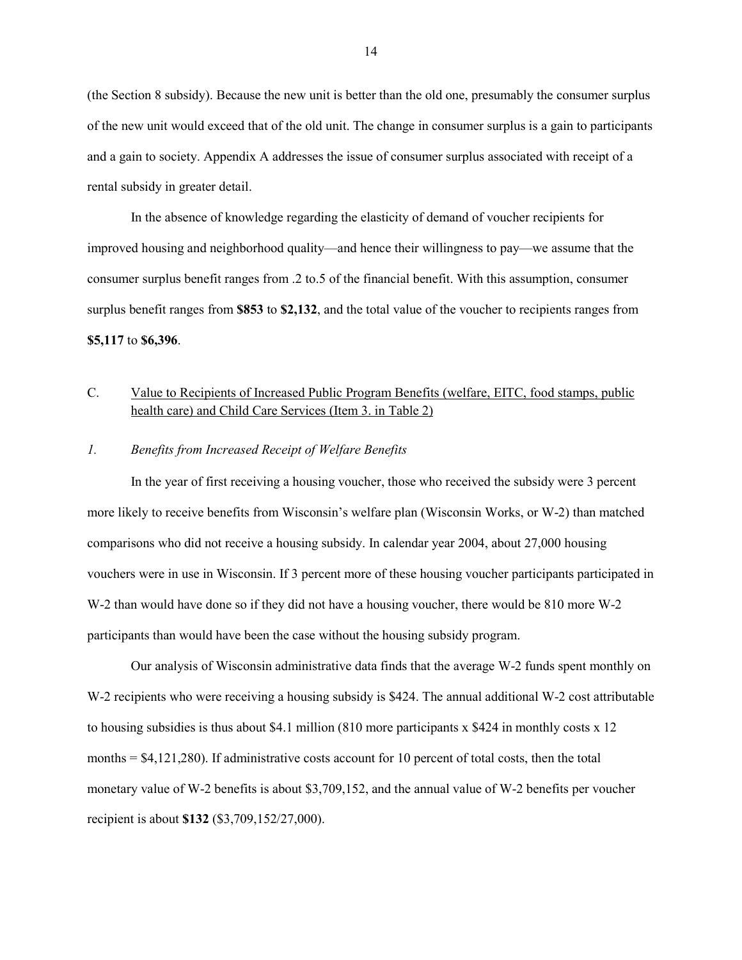(the Section 8 subsidy). Because the new unit is better than the old one, presumably the consumer surplus of the new unit would exceed that of the old unit. The change in consumer surplus is a gain to participants and a gain to society. Appendix A addresses the issue of consumer surplus associated with receipt of a rental subsidy in greater detail.

In the absence of knowledge regarding the elasticity of demand of voucher recipients for improved housing and neighborhood quality—and hence their willingness to pay—we assume that the consumer surplus benefit ranges from .2 to.5 of the financial benefit. With this assumption, consumer surplus benefit ranges from **\$853** to **\$2,132**, and the total value of the voucher to recipients ranges from **\$5,117** to **\$6,396**.

# C. Value to Recipients of Increased Public Program Benefits (welfare, EITC, food stamps, public health care) and Child Care Services (Item 3. in Table 2)

# *1. Benefits from Increased Receipt of Welfare Benefits*

In the year of first receiving a housing voucher, those who received the subsidy were 3 percent more likely to receive benefits from Wisconsin's welfare plan (Wisconsin Works, or W-2) than matched comparisons who did not receive a housing subsidy. In calendar year 2004, about 27,000 housing vouchers were in use in Wisconsin. If 3 percent more of these housing voucher participants participated in W-2 than would have done so if they did not have a housing voucher, there would be 810 more W-2 participants than would have been the case without the housing subsidy program.

Our analysis of Wisconsin administrative data finds that the average W-2 funds spent monthly on W-2 recipients who were receiving a housing subsidy is \$424. The annual additional W-2 cost attributable to housing subsidies is thus about \$4.1 million (810 more participants  $x$  \$424 in monthly costs  $x$  12 months  $= $4,121,280$ . If administrative costs account for 10 percent of total costs, then the total monetary value of W-2 benefits is about \$3,709,152, and the annual value of W-2 benefits per voucher recipient is about **\$132** (\$3,709,152/27,000).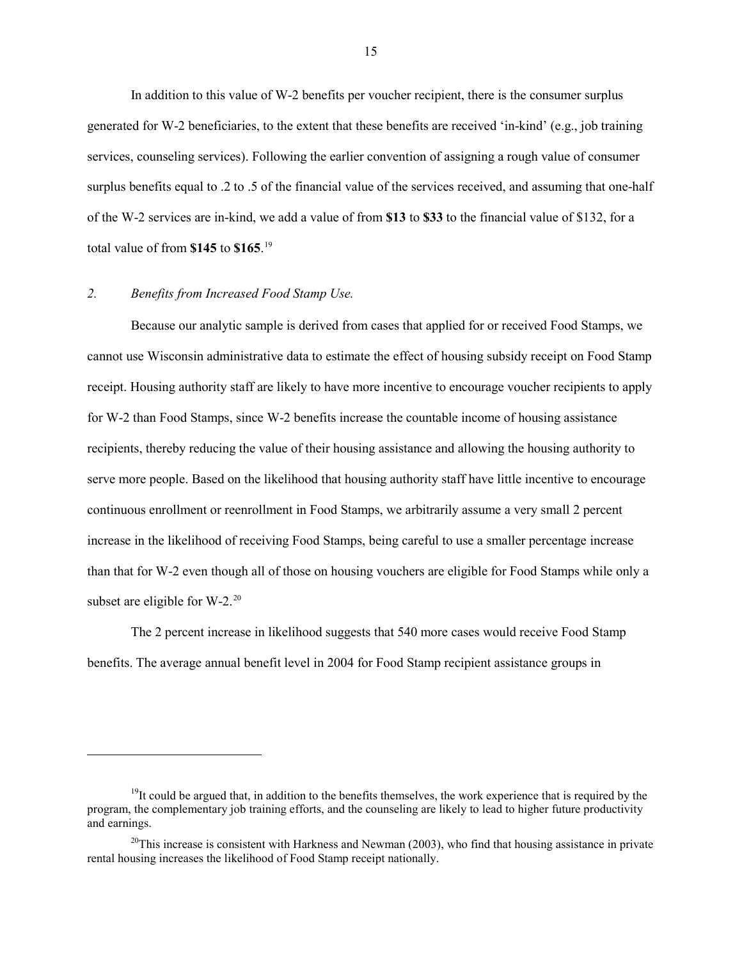In addition to this value of W-2 benefits per voucher recipient, there is the consumer surplus generated for W-2 beneficiaries, to the extent that these benefits are received 'in-kind' (e.g., job training services, counseling services). Following the earlier convention of assigning a rough value of consumer surplus benefits equal to .2 to .5 of the financial value of the services received, and assuming that one-half of the W-2 services are in-kind, we add a value of from **\$13** to **\$33** to the financial value of \$132, for a total value of from **\$145** to **\$165**. [19](#page-16-0)

# *2. Benefits from Increased Food Stamp Use.*

 $\overline{a}$ 

Because our analytic sample is derived from cases that applied for or received Food Stamps, we cannot use Wisconsin administrative data to estimate the effect of housing subsidy receipt on Food Stamp receipt. Housing authority staff are likely to have more incentive to encourage voucher recipients to apply for W-2 than Food Stamps, since W-2 benefits increase the countable income of housing assistance recipients, thereby reducing the value of their housing assistance and allowing the housing authority to serve more people. Based on the likelihood that housing authority staff have little incentive to encourage continuous enrollment or reenrollment in Food Stamps, we arbitrarily assume a very small 2 percent increase in the likelihood of receiving Food Stamps, being careful to use a smaller percentage increase than that for W-2 even though all of those on housing vouchers are eligible for Food Stamps while only a subset are eligible for  $W-2$ <sup>[20](#page-16-1)</sup>

The 2 percent increase in likelihood suggests that 540 more cases would receive Food Stamp benefits. The average annual benefit level in 2004 for Food Stamp recipient assistance groups in

<span id="page-16-0"></span> $19$ It could be argued that, in addition to the benefits themselves, the work experience that is required by the program, the complementary job training efforts, and the counseling are likely to lead to higher future productivity and earnings.

<span id="page-16-1"></span><sup>&</sup>lt;sup>20</sup>This increase is consistent with Harkness and Newman (2003), who find that housing assistance in private rental housing increases the likelihood of Food Stamp receipt nationally.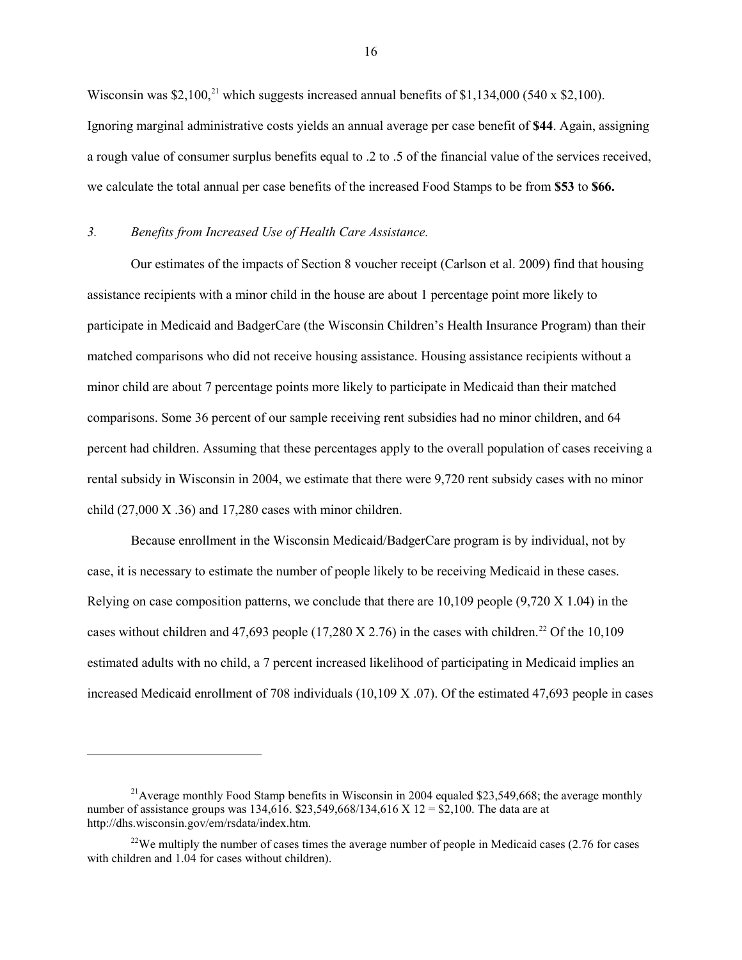Wisconsin was \$2,100,<sup>[21](#page-17-0)</sup> which suggests increased annual benefits of \$1,134,000 (540 x \$2,100). Ignoring marginal administrative costs yields an annual average per case benefit of **\$44**. Again, assigning a rough value of consumer surplus benefits equal to .2 to .5 of the financial value of the services received, we calculate the total annual per case benefits of the increased Food Stamps to be from **\$53** to **\$66.**

#### *3. Benefits from Increased Use of Health Care Assistance.*

 $\overline{a}$ 

Our estimates of the impacts of Section 8 voucher receipt (Carlson et al. 2009) find that housing assistance recipients with a minor child in the house are about 1 percentage point more likely to participate in Medicaid and BadgerCare (the Wisconsin Children's Health Insurance Program) than their matched comparisons who did not receive housing assistance. Housing assistance recipients without a minor child are about 7 percentage points more likely to participate in Medicaid than their matched comparisons. Some 36 percent of our sample receiving rent subsidies had no minor children, and 64 percent had children. Assuming that these percentages apply to the overall population of cases receiving a rental subsidy in Wisconsin in 2004, we estimate that there were 9,720 rent subsidy cases with no minor child (27,000 X .36) and 17,280 cases with minor children.

Because enrollment in the Wisconsin Medicaid/BadgerCare program is by individual, not by case, it is necessary to estimate the number of people likely to be receiving Medicaid in these cases. Relying on case composition patterns, we conclude that there are 10,109 people (9,720 X 1.04) in the cases without children and 47,693 people (17,280 X 2.76) in the cases with children.<sup>[22](#page-17-1)</sup> Of the 10,109 estimated adults with no child, a 7 percent increased likelihood of participating in Medicaid implies an increased Medicaid enrollment of 708 individuals (10,109 X .07). Of the estimated 47,693 people in cases

<span id="page-17-0"></span><sup>&</sup>lt;sup>21</sup> Average monthly Food Stamp benefits in Wisconsin in 2004 equaled \$23,549,668; the average monthly number of assistance groups was 134,616. \$23,549,668/134,616 X 12 = \$2,100. The data are at http://dhs.wisconsin.gov/em/rsdata/index.htm.

<span id="page-17-1"></span><sup>&</sup>lt;sup>22</sup>We multiply the number of cases times the average number of people in Medicaid cases  $(2.76$  for cases with children and 1.04 for cases without children).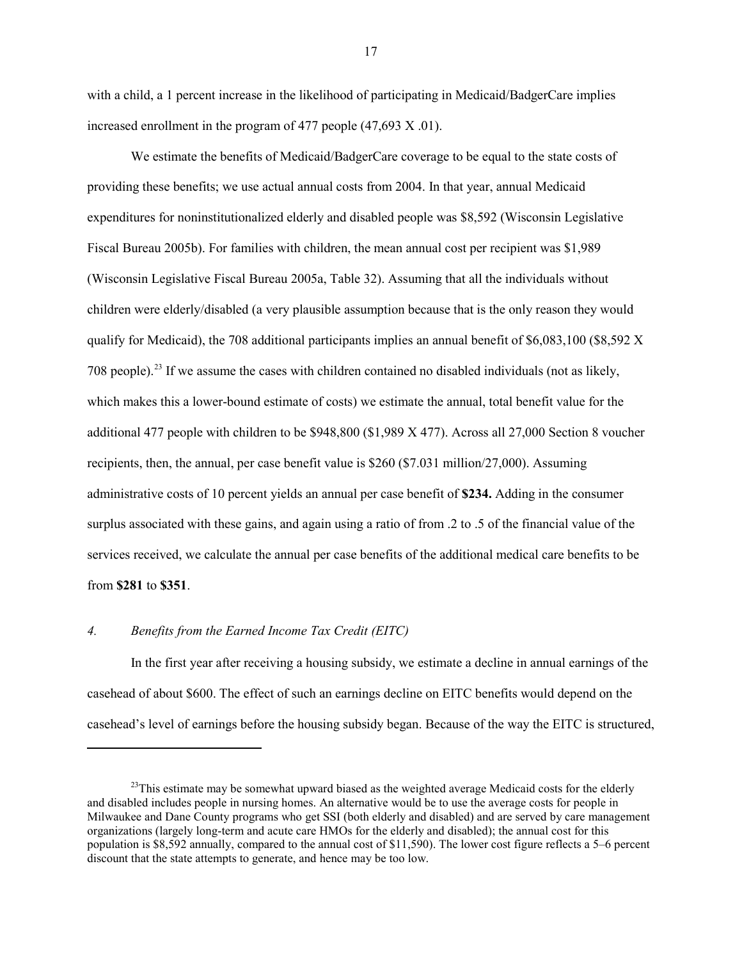with a child, a 1 percent increase in the likelihood of participating in Medicaid/BadgerCare implies increased enrollment in the program of 477 people (47,693 X .01).

We estimate the benefits of Medicaid/BadgerCare coverage to be equal to the state costs of providing these benefits; we use actual annual costs from 2004. In that year, annual Medicaid expenditures for noninstitutionalized elderly and disabled people was \$8,592 (Wisconsin Legislative Fiscal Bureau 2005b). For families with children, the mean annual cost per recipient was \$1,989 (Wisconsin Legislative Fiscal Bureau 2005a, Table 32). Assuming that all the individuals without children were elderly/disabled (a very plausible assumption because that is the only reason they would qualify for Medicaid), the 708 additional participants implies an annual benefit of \$6,083,100 (\$8,592 X 708 people).<sup>23</sup> If we assume the cases with children contained no disabled individuals (not as likely, which makes this a lower-bound estimate of costs) we estimate the annual, total benefit value for the additional 477 people with children to be \$948,800 (\$1,989 X 477). Across all 27,000 Section 8 voucher recipients, then, the annual, per case benefit value is \$260 (\$7.031 million/27,000). Assuming administrative costs of 10 percent yields an annual per case benefit of **\$234.** Adding in the consumer surplus associated with these gains, and again using a ratio of from .2 to .5 of the financial value of the services received, we calculate the annual per case benefits of the additional medical care benefits to be from **\$281** to **\$351**.

#### *4. Benefits from the Earned Income Tax Credit (EITC)*

 $\overline{a}$ 

In the first year after receiving a housing subsidy, we estimate a decline in annual earnings of the casehead of about \$600. The effect of such an earnings decline on EITC benefits would depend on the casehead's level of earnings before the housing subsidy began. Because of the way the EITC is structured,

<span id="page-18-0"></span> $^{23}$ This estimate may be somewhat upward biased as the weighted average Medicaid costs for the elderly and disabled includes people in nursing homes. An alternative would be to use the average costs for people in Milwaukee and Dane County programs who get SSI (both elderly and disabled) and are served by care management organizations (largely long-term and acute care HMOs for the elderly and disabled); the annual cost for this population is \$8,592 annually, compared to the annual cost of \$11,590). The lower cost figure reflects a 5–6 percent discount that the state attempts to generate, and hence may be too low.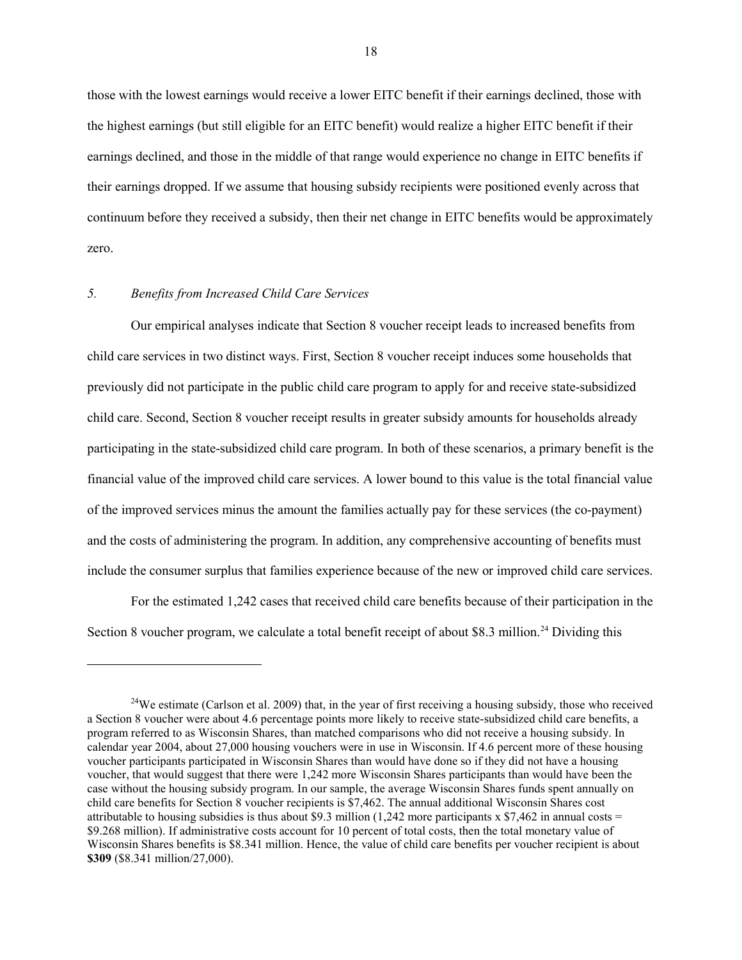those with the lowest earnings would receive a lower EITC benefit if their earnings declined, those with the highest earnings (but still eligible for an EITC benefit) would realize a higher EITC benefit if their earnings declined, and those in the middle of that range would experience no change in EITC benefits if their earnings dropped. If we assume that housing subsidy recipients were positioned evenly across that continuum before they received a subsidy, then their net change in EITC benefits would be approximately zero.

# *5. Benefits from Increased Child Care Services*

 $\overline{a}$ 

Our empirical analyses indicate that Section 8 voucher receipt leads to increased benefits from child care services in two distinct ways. First, Section 8 voucher receipt induces some households that previously did not participate in the public child care program to apply for and receive state-subsidized child care. Second, Section 8 voucher receipt results in greater subsidy amounts for households already participating in the state-subsidized child care program. In both of these scenarios, a primary benefit is the financial value of the improved child care services. A lower bound to this value is the total financial value of the improved services minus the amount the families actually pay for these services (the co-payment) and the costs of administering the program. In addition, any comprehensive accounting of benefits must include the consumer surplus that families experience because of the new or improved child care services.

For the estimated 1,242 cases that received child care benefits because of their participation in the Section 8 voucher program, we calculate a total benefit receipt of about \$8.3 million.<sup>[24](#page-19-0)</sup> Dividing this

<span id="page-19-0"></span><sup>&</sup>lt;sup>24</sup>We estimate (Carlson et al. 2009) that, in the year of first receiving a housing subsidy, those who received a Section 8 voucher were about 4.6 percentage points more likely to receive state-subsidized child care benefits, a program referred to as Wisconsin Shares, than matched comparisons who did not receive a housing subsidy. In calendar year 2004, about 27,000 housing vouchers were in use in Wisconsin. If 4.6 percent more of these housing voucher participants participated in Wisconsin Shares than would have done so if they did not have a housing voucher, that would suggest that there were 1,242 more Wisconsin Shares participants than would have been the case without the housing subsidy program. In our sample, the average Wisconsin Shares funds spent annually on child care benefits for Section 8 voucher recipients is \$7,462. The annual additional Wisconsin Shares cost attributable to housing subsidies is thus about \$9.3 million (1,242 more participants x \$7,462 in annual costs = \$9.268 million). If administrative costs account for 10 percent of total costs, then the total monetary value of Wisconsin Shares benefits is \$8.341 million. Hence, the value of child care benefits per voucher recipient is about **\$309** (\$8.341 million/27,000).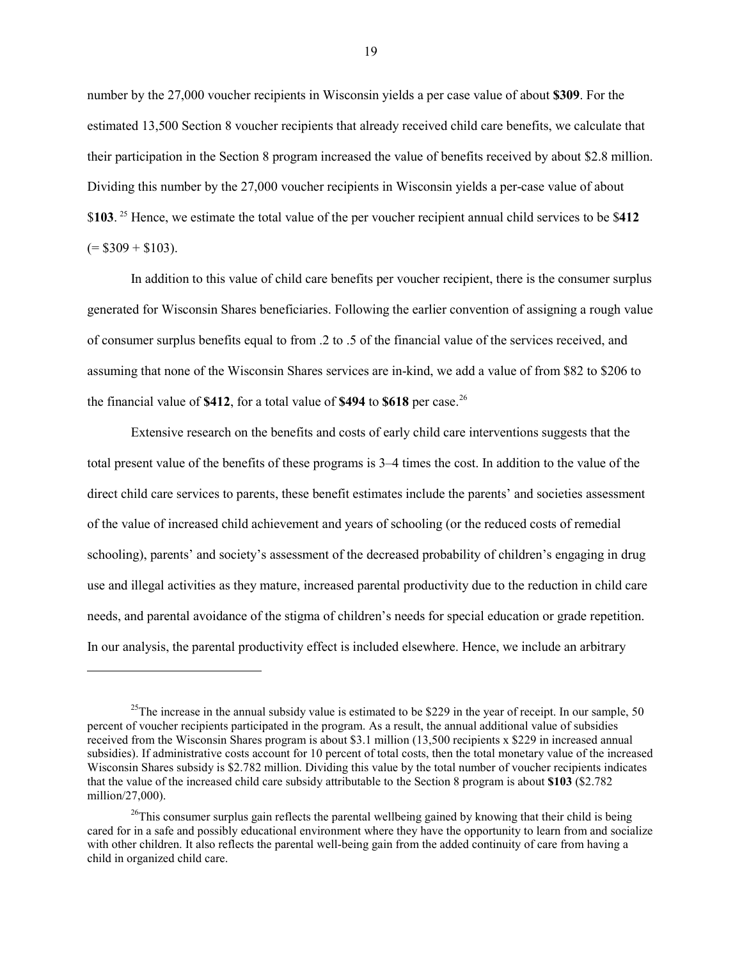number by the 27,000 voucher recipients in Wisconsin yields a per case value of about **\$309**. For the estimated 13,500 Section 8 voucher recipients that already received child care benefits, we calculate that their participation in the Section 8 program increased the value of benefits received by about \$2.8 million. Dividing this number by the 27,000 voucher recipients in Wisconsin yields a per-case value of about \$**103**. [25](#page-20-0) Hence, we estimate the total value of the per voucher recipient annual child services to be \$**412**  $(= $309 + $103)$ .

In addition to this value of child care benefits per voucher recipient, there is the consumer surplus generated for Wisconsin Shares beneficiaries. Following the earlier convention of assigning a rough value of consumer surplus benefits equal to from .2 to .5 of the financial value of the services received, and assuming that none of the Wisconsin Shares services are in-kind, we add a value of from \$82 to \$206 to the financial value of **\$412**, for a total value of **\$494** to **\$618** per case. [26](#page-20-1)

Extensive research on the benefits and costs of early child care interventions suggests that the total present value of the benefits of these programs is 3–4 times the cost. In addition to the value of the direct child care services to parents, these benefit estimates include the parents' and societies assessment of the value of increased child achievement and years of schooling (or the reduced costs of remedial schooling), parents' and society's assessment of the decreased probability of children's engaging in drug use and illegal activities as they mature, increased parental productivity due to the reduction in child care needs, and parental avoidance of the stigma of children's needs for special education or grade repetition. In our analysis, the parental productivity effect is included elsewhere. Hence, we include an arbitrary

<span id="page-20-0"></span><sup>&</sup>lt;sup>25</sup>The increase in the annual subsidy value is estimated to be \$229 in the year of receipt. In our sample, 50 percent of voucher recipients participated in the program. As a result, the annual additional value of subsidies received from the Wisconsin Shares program is about \$3.1 million (13,500 recipients x \$229 in increased annual subsidies). If administrative costs account for 10 percent of total costs, then the total monetary value of the increased Wisconsin Shares subsidy is \$2.782 million. Dividing this value by the total number of voucher recipients indicates that the value of the increased child care subsidy attributable to the Section 8 program is about **\$103** (\$2.782 million/27,000).

<span id="page-20-1"></span> $26$ This consumer surplus gain reflects the parental wellbeing gained by knowing that their child is being cared for in a safe and possibly educational environment where they have the opportunity to learn from and socialize with other children. It also reflects the parental well-being gain from the added continuity of care from having a child in organized child care.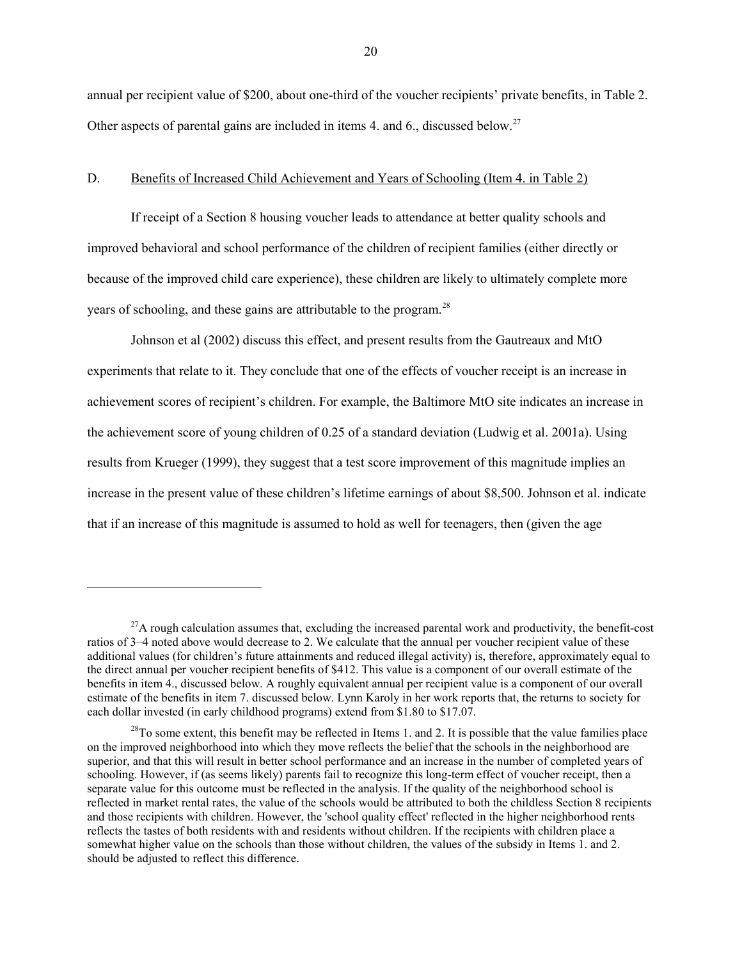annual per recipient value of \$200, about one-third of the voucher recipients' private benefits, in Table 2. Other aspects of parental gains are included in items 4, and 6., discussed below.<sup>27</sup>

### D. Benefits of Increased Child Achievement and Years of Schooling (Item 4. in Table 2)

If receipt of a Section 8 housing voucher leads to attendance at better quality schools and improved behavioral and school performance of the children of recipient families (either directly or because of the improved child care experience), these children are likely to ultimately complete more years of schooling, and these gains are attributable to the program.<sup>[28](#page-21-1)</sup>

Johnson et al (2002) discuss this effect, and present results from the Gautreaux and MtO experiments that relate to it. They conclude that one of the effects of voucher receipt is an increase in achievement scores of recipient's children. For example, the Baltimore MtO site indicates an increase in the achievement score of young children of 0.25 of a standard deviation (Ludwig et al. 2001a). Using results from Krueger (1999), they suggest that a test score improvement of this magnitude implies an increase in the present value of these children's lifetime earnings of about \$8,500. Johnson et al. indicate that if an increase of this magnitude is assumed to hold as well for teenagers, then (given the age

<span id="page-21-0"></span> $^{27}$ A rough calculation assumes that, excluding the increased parental work and productivity, the benefit-cost ratios of 3–4 noted above would decrease to 2. We calculate that the annual per voucher recipient value of these additional values (for children's future attainments and reduced illegal activity) is, therefore, approximately equal to the direct annual per voucher recipient benefits of \$412. This value is a component of our overall estimate of the benefits in item 4., discussed below. A roughly equivalent annual per recipient value is a component of our overall estimate of the benefits in item 7. discussed below. Lynn Karoly in her work reports that, the returns to society for each dollar invested (in early childhood programs) extend from \$1.80 to \$17.07.

<span id="page-21-1"></span> $^{28}$ To some extent, this benefit may be reflected in Items 1. and 2. It is possible that the value families place on the improved neighborhood into which they move reflects the belief that the schools in the neighborhood are superior, and that this will result in better school performance and an increase in the number of completed years of schooling. However, if (as seems likely) parents fail to recognize this long-term effect of voucher receipt, then a separate value for this outcome must be reflected in the analysis. If the quality of the neighborhood school is reflected in market rental rates, the value of the schools would be attributed to both the childless Section 8 recipients and those recipients with children. However, the 'school quality effect' reflected in the higher neighborhood rents reflects the tastes of both residents with and residents without children. If the recipients with children place a somewhat higher value on the schools than those without children, the values of the subsidy in Items 1. and 2. should be adjusted to reflect this difference.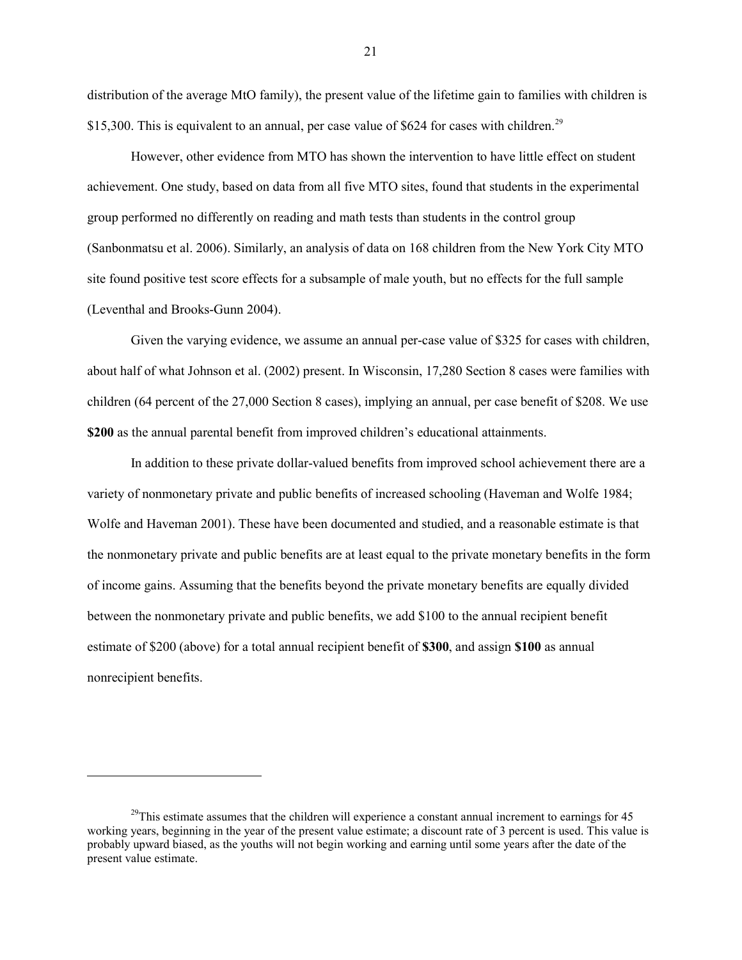distribution of the average MtO family), the present value of the lifetime gain to families with children is \$15,300. This is equivalent to an annual, per case value of \$624 for cases with children.<sup>[29](#page-22-0)</sup>

However, other evidence from MTO has shown the intervention to have little effect on student achievement. One study, based on data from all five MTO sites, found that students in the experimental group performed no differently on reading and math tests than students in the control group (Sanbonmatsu et al. 2006). Similarly, an analysis of data on 168 children from the New York City MTO site found positive test score effects for a subsample of male youth, but no effects for the full sample (Leventhal and Brooks-Gunn 2004).

Given the varying evidence, we assume an annual per-case value of \$325 for cases with children, about half of what Johnson et al. (2002) present. In Wisconsin, 17,280 Section 8 cases were families with children (64 percent of the 27,000 Section 8 cases), implying an annual, per case benefit of \$208. We use **\$200** as the annual parental benefit from improved children's educational attainments.

In addition to these private dollar-valued benefits from improved school achievement there are a variety of nonmonetary private and public benefits of increased schooling (Haveman and Wolfe 1984; Wolfe and Haveman 2001). These have been documented and studied, and a reasonable estimate is that the nonmonetary private and public benefits are at least equal to the private monetary benefits in the form of income gains. Assuming that the benefits beyond the private monetary benefits are equally divided between the nonmonetary private and public benefits, we add \$100 to the annual recipient benefit estimate of \$200 (above) for a total annual recipient benefit of **\$300**, and assign **\$100** as annual nonrecipient benefits.

<span id="page-22-0"></span> $^{29}$ This estimate assumes that the children will experience a constant annual increment to earnings for 45 working years, beginning in the year of the present value estimate; a discount rate of 3 percent is used. This value is probably upward biased, as the youths will not begin working and earning until some years after the date of the present value estimate.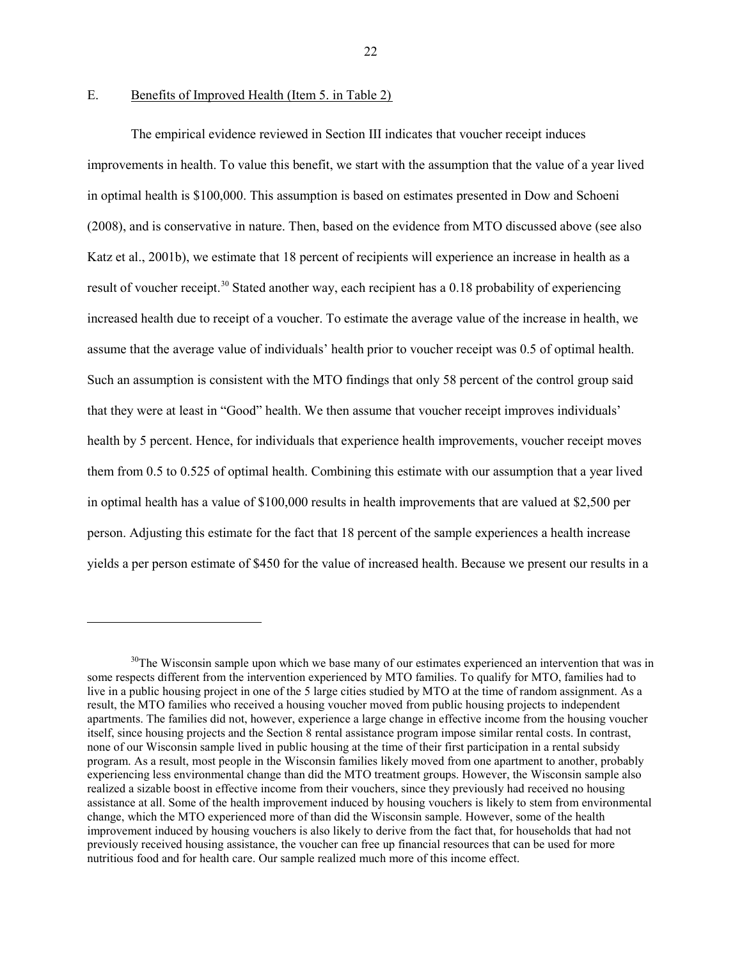$\overline{a}$ 

### E. Benefits of Improved Health (Item 5. in Table 2)

The empirical evidence reviewed in Section III indicates that voucher receipt induces improvements in health. To value this benefit, we start with the assumption that the value of a year lived in optimal health is \$100,000. This assumption is based on estimates presented in Dow and Schoeni (2008), and is conservative in nature. Then, based on the evidence from MTO discussed above (see also Katz et al., 2001b), we estimate that 18 percent of recipients will experience an increase in health as a result of voucher receipt.<sup>[30](#page-23-0)</sup> Stated another way, each recipient has a 0.18 probability of experiencing increased health due to receipt of a voucher. To estimate the average value of the increase in health, we assume that the average value of individuals' health prior to voucher receipt was 0.5 of optimal health. Such an assumption is consistent with the MTO findings that only 58 percent of the control group said that they were at least in "Good" health. We then assume that voucher receipt improves individuals' health by 5 percent. Hence, for individuals that experience health improvements, voucher receipt moves them from 0.5 to 0.525 of optimal health. Combining this estimate with our assumption that a year lived in optimal health has a value of \$100,000 results in health improvements that are valued at \$2,500 per person. Adjusting this estimate for the fact that 18 percent of the sample experiences a health increase yields a per person estimate of \$450 for the value of increased health. Because we present our results in a

<span id="page-23-0"></span> $30$ The Wisconsin sample upon which we base many of our estimates experienced an intervention that was in some respects different from the intervention experienced by MTO families. To qualify for MTO, families had to live in a public housing project in one of the 5 large cities studied by MTO at the time of random assignment. As a result, the MTO families who received a housing voucher moved from public housing projects to independent apartments. The families did not, however, experience a large change in effective income from the housing voucher itself, since housing projects and the Section 8 rental assistance program impose similar rental costs. In contrast, none of our Wisconsin sample lived in public housing at the time of their first participation in a rental subsidy program. As a result, most people in the Wisconsin families likely moved from one apartment to another, probably experiencing less environmental change than did the MTO treatment groups. However, the Wisconsin sample also realized a sizable boost in effective income from their vouchers, since they previously had received no housing assistance at all. Some of the health improvement induced by housing vouchers is likely to stem from environmental change, which the MTO experienced more of than did the Wisconsin sample. However, some of the health improvement induced by housing vouchers is also likely to derive from the fact that, for households that had not previously received housing assistance, the voucher can free up financial resources that can be used for more nutritious food and for health care. Our sample realized much more of this income effect.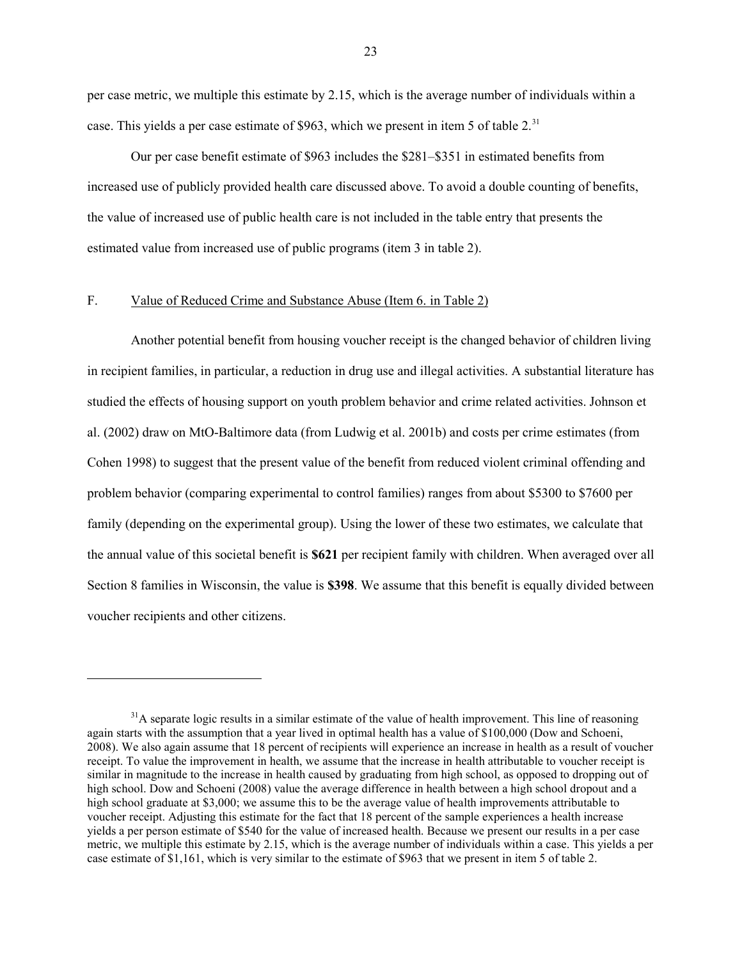per case metric, we multiple this estimate by 2.15, which is the average number of individuals within a case. This yields a per case estimate of \$963, which we present in item 5 of table  $2<sup>31</sup>$  $2<sup>31</sup>$  $2<sup>31</sup>$ 

Our per case benefit estimate of \$963 includes the \$281–\$351 in estimated benefits from increased use of publicly provided health care discussed above. To avoid a double counting of benefits, the value of increased use of public health care is not included in the table entry that presents the estimated value from increased use of public programs (item 3 in table 2).

# F. Value of Reduced Crime and Substance Abuse (Item 6. in Table 2)

 $\overline{a}$ 

Another potential benefit from housing voucher receipt is the changed behavior of children living in recipient families, in particular, a reduction in drug use and illegal activities. A substantial literature has studied the effects of housing support on youth problem behavior and crime related activities. Johnson et al. (2002) draw on MtO-Baltimore data (from Ludwig et al. 2001b) and costs per crime estimates (from Cohen 1998) to suggest that the present value of the benefit from reduced violent criminal offending and problem behavior (comparing experimental to control families) ranges from about \$5300 to \$7600 per family (depending on the experimental group). Using the lower of these two estimates, we calculate that the annual value of this societal benefit is **\$621** per recipient family with children. When averaged over all Section 8 families in Wisconsin, the value is **\$398**. We assume that this benefit is equally divided between voucher recipients and other citizens.

<span id="page-24-0"></span> $31A$  separate logic results in a similar estimate of the value of health improvement. This line of reasoning again starts with the assumption that a year lived in optimal health has a value of \$100,000 (Dow and Schoeni, 2008). We also again assume that 18 percent of recipients will experience an increase in health as a result of voucher receipt. To value the improvement in health, we assume that the increase in health attributable to voucher receipt is similar in magnitude to the increase in health caused by graduating from high school, as opposed to dropping out of high school. Dow and Schoeni (2008) value the average difference in health between a high school dropout and a high school graduate at \$3,000; we assume this to be the average value of health improvements attributable to voucher receipt. Adjusting this estimate for the fact that 18 percent of the sample experiences a health increase yields a per person estimate of \$540 for the value of increased health. Because we present our results in a per case metric, we multiple this estimate by 2.15, which is the average number of individuals within a case. This yields a per case estimate of \$1,161, which is very similar to the estimate of \$963 that we present in item 5 of table 2.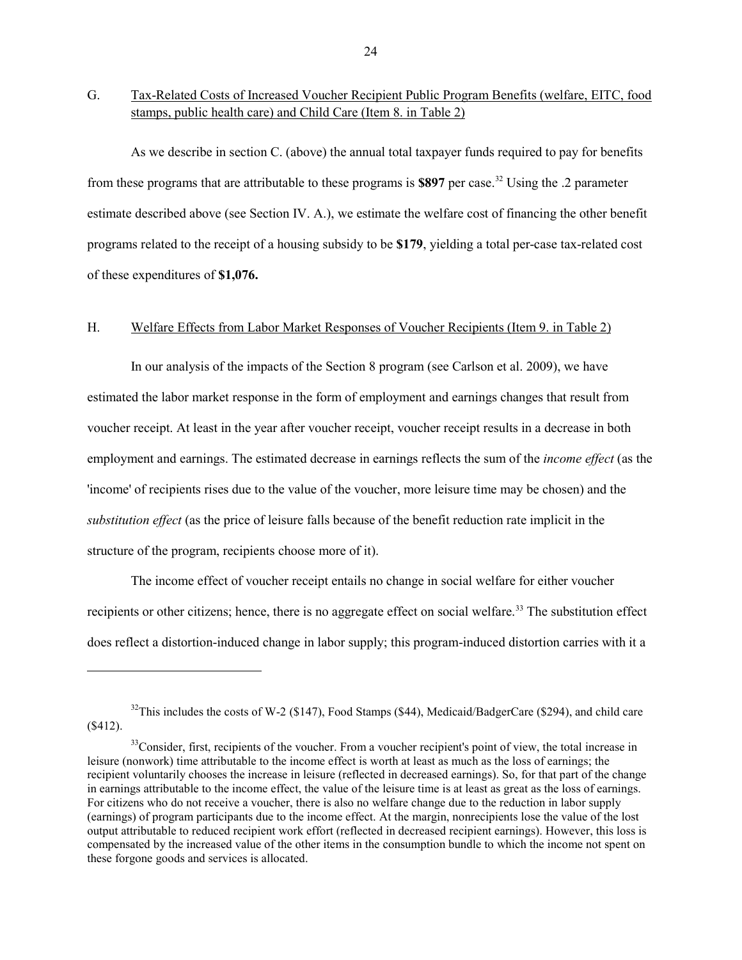G. Tax-Related Costs of Increased Voucher Recipient Public Program Benefits (welfare, EITC, food stamps, public health care) and Child Care (Item 8. in Table 2)

As we describe in section C. (above) the annual total taxpayer funds required to pay for benefits from these programs that are attributable to these programs is **\$897** per case.[32](#page-25-0) Using the .2 parameter estimate described above (see Section IV. A.), we estimate the welfare cost of financing the other benefit programs related to the receipt of a housing subsidy to be **\$179**, yielding a total per-case tax-related cost of these expenditures of **\$1,076.**

# H. Welfare Effects from Labor Market Responses of Voucher Recipients (Item 9. in Table 2)

In our analysis of the impacts of the Section 8 program (see Carlson et al. 2009), we have estimated the labor market response in the form of employment and earnings changes that result from voucher receipt. At least in the year after voucher receipt, voucher receipt results in a decrease in both employment and earnings. The estimated decrease in earnings reflects the sum of the *income effect* (as the 'income' of recipients rises due to the value of the voucher, more leisure time may be chosen) and the *substitution effect* (as the price of leisure falls because of the benefit reduction rate implicit in the structure of the program, recipients choose more of it).

The income effect of voucher receipt entails no change in social welfare for either voucher recipients or other citizens; hence, there is no aggregate effect on social welfare.<sup>[33](#page-25-1)</sup> The substitution effect does reflect a distortion-induced change in labor supply; this program-induced distortion carries with it a

<span id="page-25-0"></span> $32$ This includes the costs of W-2 (\$147), Food Stamps (\$44), Medicaid/BadgerCare (\$294), and child care (\$412).

<span id="page-25-1"></span><sup>&</sup>lt;sup>33</sup>Consider, first, recipients of the voucher. From a voucher recipient's point of view, the total increase in leisure (nonwork) time attributable to the income effect is worth at least as much as the loss of earnings; the recipient voluntarily chooses the increase in leisure (reflected in decreased earnings). So, for that part of the change in earnings attributable to the income effect, the value of the leisure time is at least as great as the loss of earnings. For citizens who do not receive a voucher, there is also no welfare change due to the reduction in labor supply (earnings) of program participants due to the income effect. At the margin, nonrecipients lose the value of the lost output attributable to reduced recipient work effort (reflected in decreased recipient earnings). However, this loss is compensated by the increased value of the other items in the consumption bundle to which the income not spent on these forgone goods and services is allocated.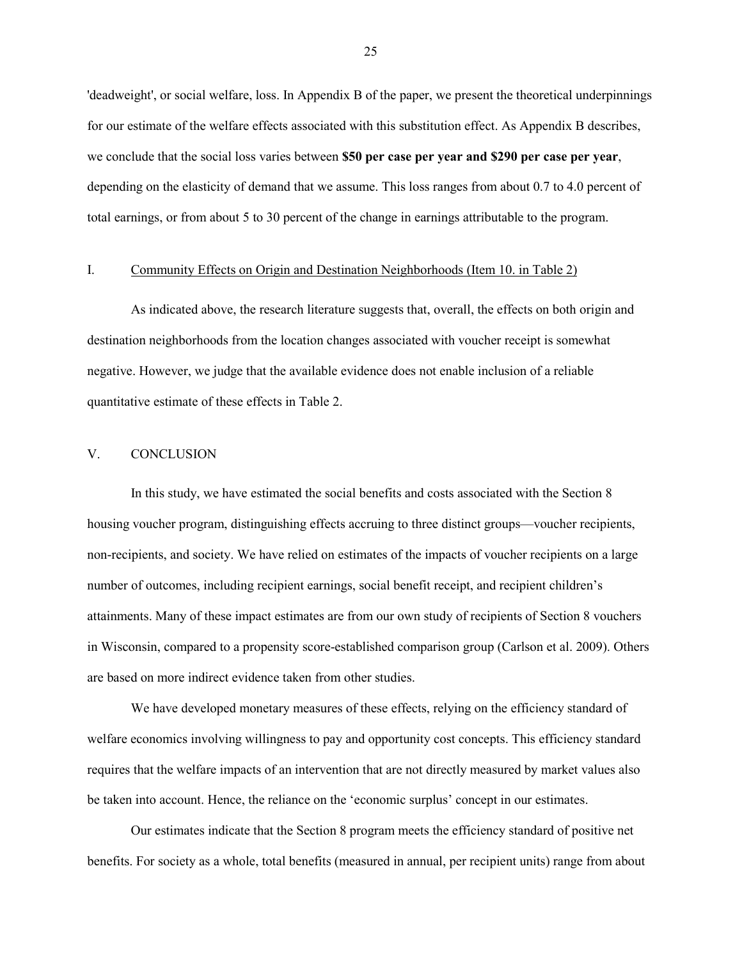'deadweight', or social welfare, loss. In Appendix B of the paper, we present the theoretical underpinnings for our estimate of the welfare effects associated with this substitution effect. As Appendix B describes, we conclude that the social loss varies between **\$50 per case per year and \$290 per case per year**, depending on the elasticity of demand that we assume. This loss ranges from about 0.7 to 4.0 percent of total earnings, or from about 5 to 30 percent of the change in earnings attributable to the program.

### I. Community Effects on Origin and Destination Neighborhoods (Item 10. in Table 2)

As indicated above, the research literature suggests that, overall, the effects on both origin and destination neighborhoods from the location changes associated with voucher receipt is somewhat negative. However, we judge that the available evidence does not enable inclusion of a reliable quantitative estimate of these effects in Table 2.

# V. CONCLUSION

In this study, we have estimated the social benefits and costs associated with the Section 8 housing voucher program, distinguishing effects accruing to three distinct groups—voucher recipients, non-recipients, and society. We have relied on estimates of the impacts of voucher recipients on a large number of outcomes, including recipient earnings, social benefit receipt, and recipient children's attainments. Many of these impact estimates are from our own study of recipients of Section 8 vouchers in Wisconsin, compared to a propensity score-established comparison group (Carlson et al. 2009). Others are based on more indirect evidence taken from other studies.

We have developed monetary measures of these effects, relying on the efficiency standard of welfare economics involving willingness to pay and opportunity cost concepts. This efficiency standard requires that the welfare impacts of an intervention that are not directly measured by market values also be taken into account. Hence, the reliance on the 'economic surplus' concept in our estimates.

Our estimates indicate that the Section 8 program meets the efficiency standard of positive net benefits. For society as a whole, total benefits (measured in annual, per recipient units) range from about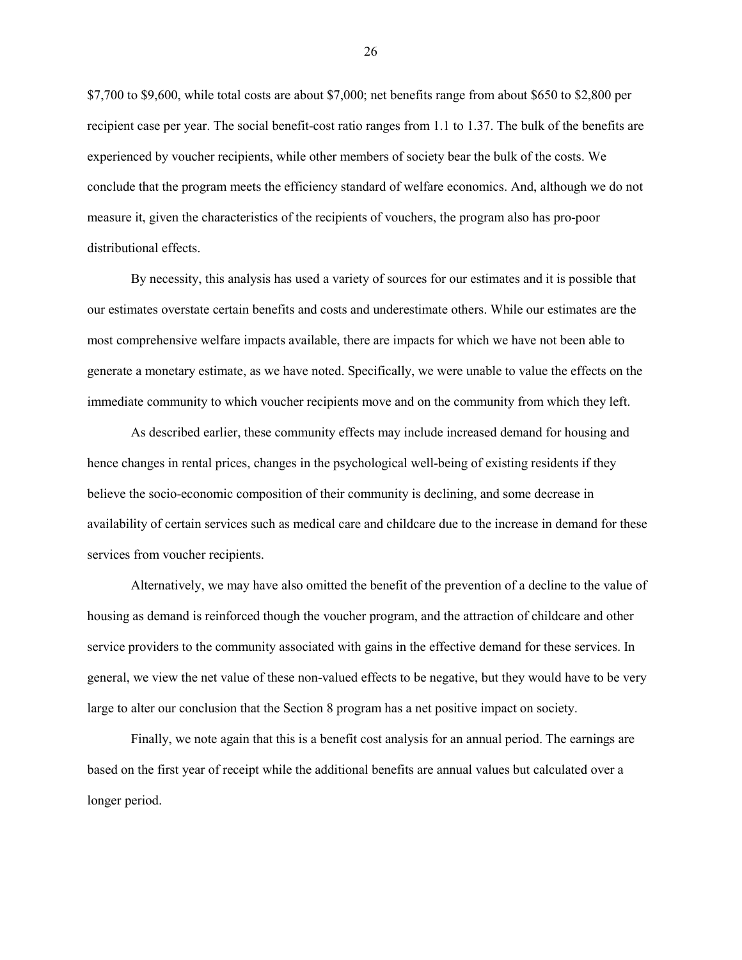\$7,700 to \$9,600, while total costs are about \$7,000; net benefits range from about \$650 to \$2,800 per recipient case per year. The social benefit-cost ratio ranges from 1.1 to 1.37. The bulk of the benefits are experienced by voucher recipients, while other members of society bear the bulk of the costs. We conclude that the program meets the efficiency standard of welfare economics. And, although we do not measure it, given the characteristics of the recipients of vouchers, the program also has pro-poor distributional effects.

By necessity, this analysis has used a variety of sources for our estimates and it is possible that our estimates overstate certain benefits and costs and underestimate others. While our estimates are the most comprehensive welfare impacts available, there are impacts for which we have not been able to generate a monetary estimate, as we have noted. Specifically, we were unable to value the effects on the immediate community to which voucher recipients move and on the community from which they left.

As described earlier, these community effects may include increased demand for housing and hence changes in rental prices, changes in the psychological well-being of existing residents if they believe the socio-economic composition of their community is declining, and some decrease in availability of certain services such as medical care and childcare due to the increase in demand for these services from voucher recipients.

Alternatively, we may have also omitted the benefit of the prevention of a decline to the value of housing as demand is reinforced though the voucher program, and the attraction of childcare and other service providers to the community associated with gains in the effective demand for these services. In general, we view the net value of these non-valued effects to be negative, but they would have to be very large to alter our conclusion that the Section 8 program has a net positive impact on society.

Finally, we note again that this is a benefit cost analysis for an annual period. The earnings are based on the first year of receipt while the additional benefits are annual values but calculated over a longer period.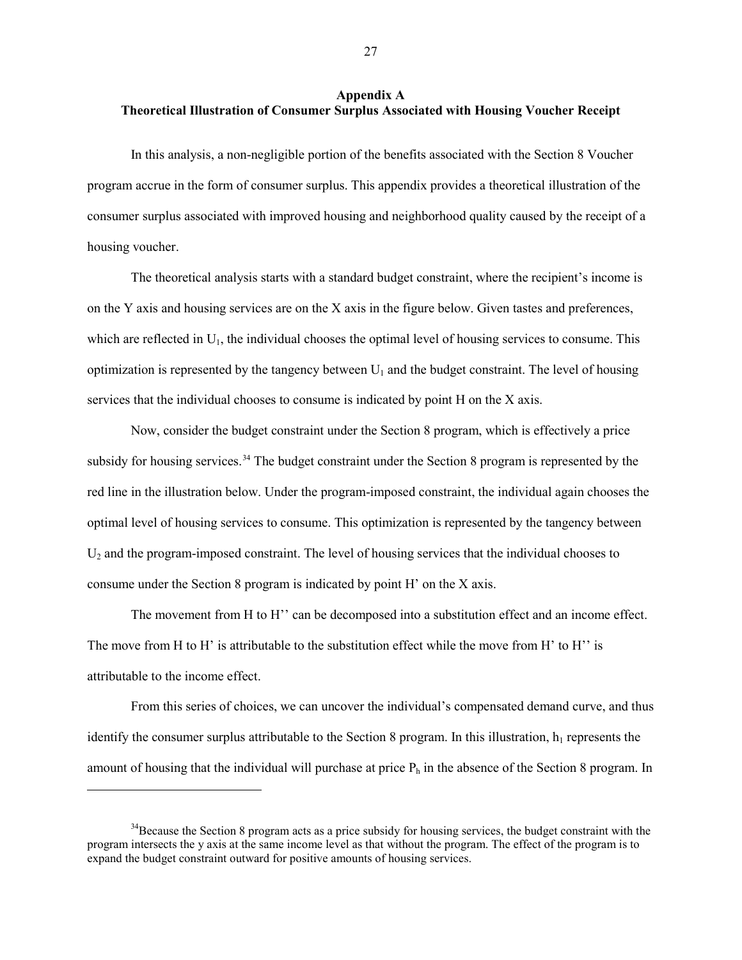### **Appendix A Theoretical Illustration of Consumer Surplus Associated with Housing Voucher Receipt**

In this analysis, a non-negligible portion of the benefits associated with the Section 8 Voucher program accrue in the form of consumer surplus. This appendix provides a theoretical illustration of the consumer surplus associated with improved housing and neighborhood quality caused by the receipt of a housing voucher.

The theoretical analysis starts with a standard budget constraint, where the recipient's income is on the Y axis and housing services are on the X axis in the figure below. Given tastes and preferences, which are reflected in  $U_1$ , the individual chooses the optimal level of housing services to consume. This optimization is represented by the tangency between  $U_1$  and the budget constraint. The level of housing services that the individual chooses to consume is indicated by point H on the X axis.

Now, consider the budget constraint under the Section 8 program, which is effectively a price subsidy for housing services.<sup>[34](#page-28-0)</sup> The budget constraint under the Section 8 program is represented by the red line in the illustration below. Under the program-imposed constraint, the individual again chooses the optimal level of housing services to consume. This optimization is represented by the tangency between  $U_2$  and the program-imposed constraint. The level of housing services that the individual chooses to consume under the Section 8 program is indicated by point H' on the X axis.

The movement from H to H<sup>3</sup> can be decomposed into a substitution effect and an income effect. The move from H to H' is attributable to the substitution effect while the move from H' to H'' is attributable to the income effect.

From this series of choices, we can uncover the individual's compensated demand curve, and thus identify the consumer surplus attributable to the Section 8 program. In this illustration,  $h_1$  represents the amount of housing that the individual will purchase at price  $P_h$  in the absence of the Section 8 program. In

<span id="page-28-0"></span><sup>&</sup>lt;sup>34</sup>Because the Section 8 program acts as a price subsidy for housing services, the budget constraint with the program intersects the y axis at the same income level as that without the program. The effect of the program is to expand the budget constraint outward for positive amounts of housing services.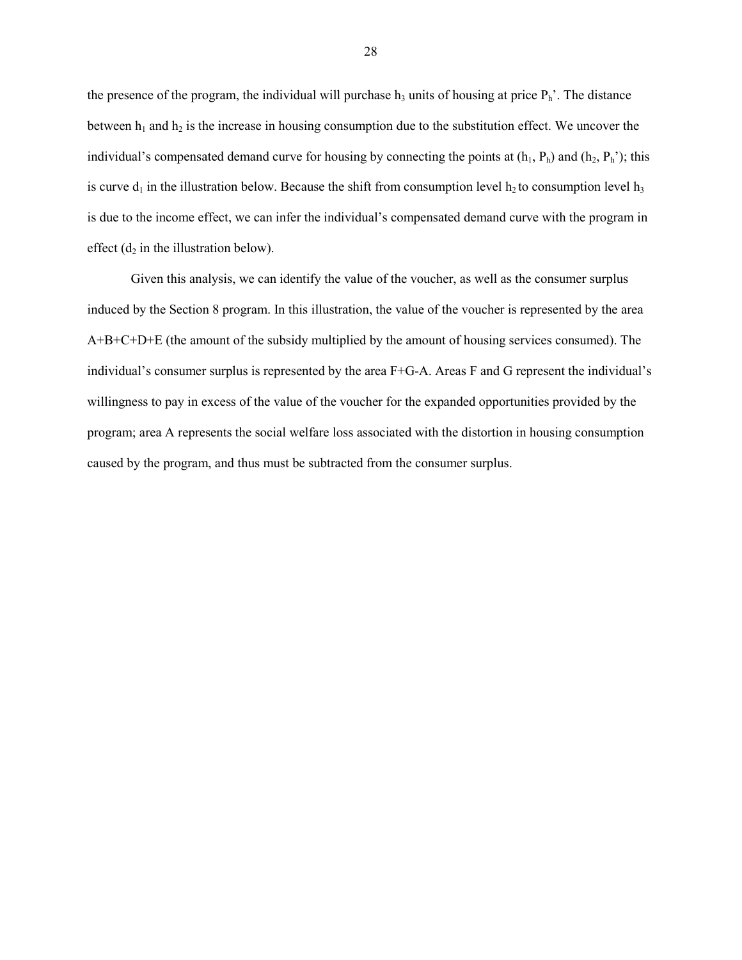the presence of the program, the individual will purchase  $h_3$  units of housing at price  $P_h$ . The distance between  $h_1$  and  $h_2$  is the increase in housing consumption due to the substitution effect. We uncover the individual's compensated demand curve for housing by connecting the points at  $(h_1, P_h)$  and  $(h_2, P_h')$ ; this is curve  $d_1$  in the illustration below. Because the shift from consumption level h<sub>2</sub> to consumption level h<sub>3</sub> is due to the income effect, we can infer the individual's compensated demand curve with the program in effect  $(d_2$  in the illustration below).

Given this analysis, we can identify the value of the voucher, as well as the consumer surplus induced by the Section 8 program. In this illustration, the value of the voucher is represented by the area A+B+C+D+E (the amount of the subsidy multiplied by the amount of housing services consumed). The individual's consumer surplus is represented by the area F+G-A. Areas F and G represent the individual's willingness to pay in excess of the value of the voucher for the expanded opportunities provided by the program; area A represents the social welfare loss associated with the distortion in housing consumption caused by the program, and thus must be subtracted from the consumer surplus.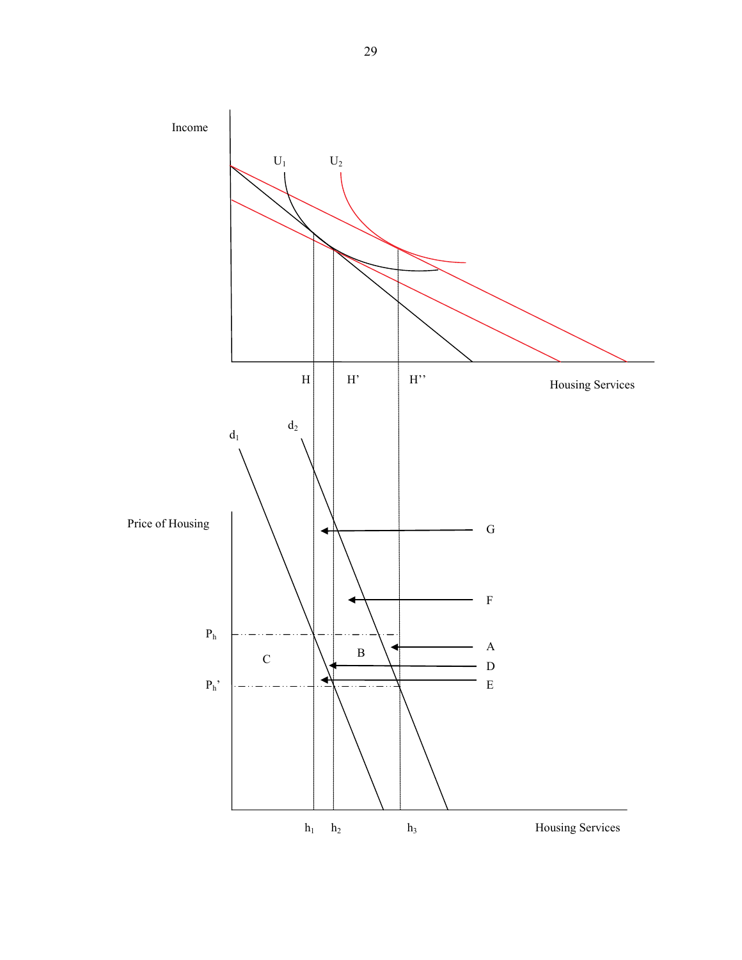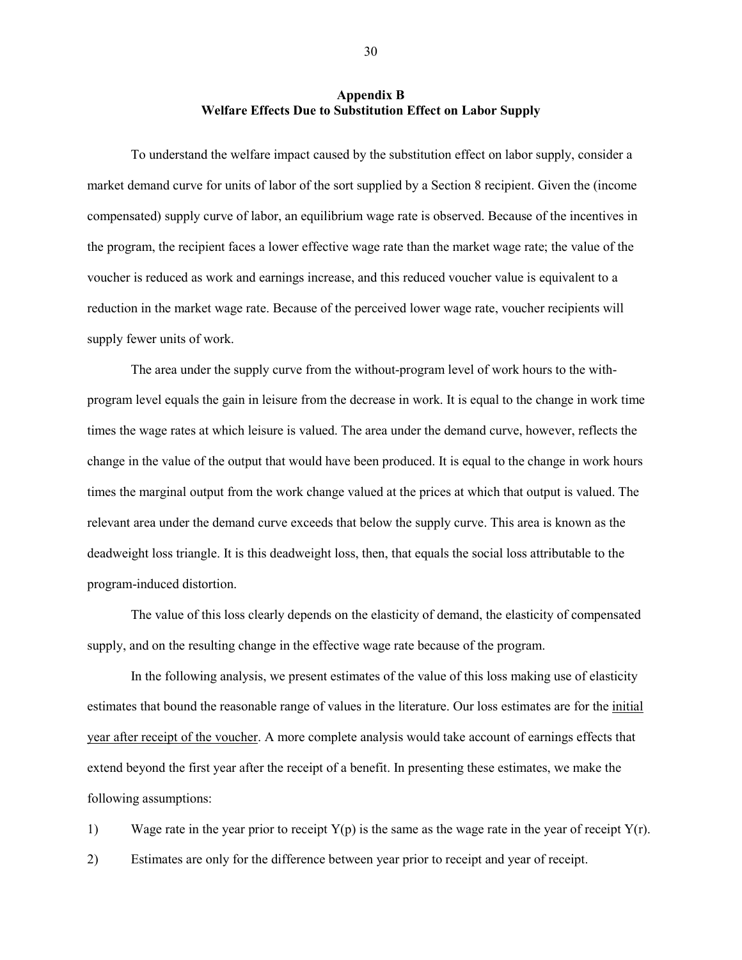### **Appendix B Welfare Effects Due to Substitution Effect on Labor Supply**

To understand the welfare impact caused by the substitution effect on labor supply, consider a market demand curve for units of labor of the sort supplied by a Section 8 recipient. Given the (income compensated) supply curve of labor, an equilibrium wage rate is observed. Because of the incentives in the program, the recipient faces a lower effective wage rate than the market wage rate; the value of the voucher is reduced as work and earnings increase, and this reduced voucher value is equivalent to a reduction in the market wage rate. Because of the perceived lower wage rate, voucher recipients will supply fewer units of work.

The area under the supply curve from the without-program level of work hours to the withprogram level equals the gain in leisure from the decrease in work. It is equal to the change in work time times the wage rates at which leisure is valued. The area under the demand curve, however, reflects the change in the value of the output that would have been produced. It is equal to the change in work hours times the marginal output from the work change valued at the prices at which that output is valued. The relevant area under the demand curve exceeds that below the supply curve. This area is known as the deadweight loss triangle. It is this deadweight loss, then, that equals the social loss attributable to the program-induced distortion.

The value of this loss clearly depends on the elasticity of demand, the elasticity of compensated supply, and on the resulting change in the effective wage rate because of the program.

In the following analysis, we present estimates of the value of this loss making use of elasticity estimates that bound the reasonable range of values in the literature. Our loss estimates are for the *initial* year after receipt of the voucher. A more complete analysis would take account of earnings effects that extend beyond the first year after the receipt of a benefit. In presenting these estimates, we make the following assumptions:

1) Wage rate in the year prior to receipt  $Y(p)$  is the same as the wage rate in the year of receipt  $Y(r)$ . 2) Estimates are only for the difference between year prior to receipt and year of receipt.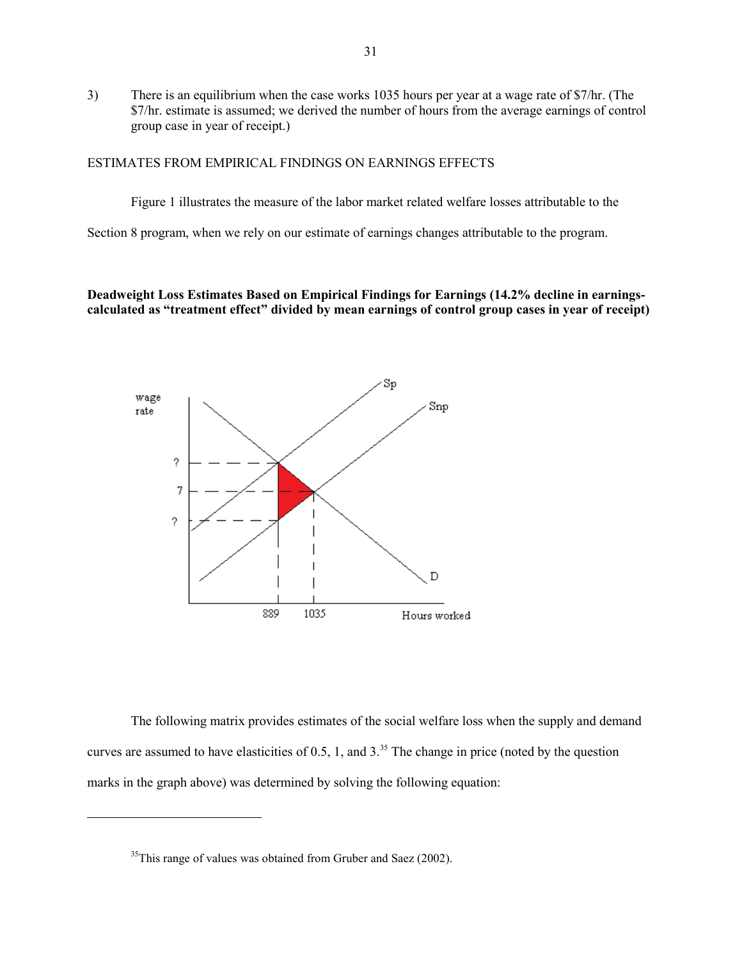3) There is an equilibrium when the case works 1035 hours per year at a wage rate of \$7/hr. (The \$7/hr. estimate is assumed; we derived the number of hours from the average earnings of control group case in year of receipt.)

### ESTIMATES FROM EMPIRICAL FINDINGS ON EARNINGS EFFECTS

Figure 1 illustrates the measure of the labor market related welfare losses attributable to the

Section 8 program, when we rely on our estimate of earnings changes attributable to the program.

**Deadweight Loss Estimates Based on Empirical Findings for Earnings (14.2% decline in earningscalculated as "treatment effect" divided by mean earnings of control group cases in year of receipt)**



The following matrix provides estimates of the social welfare loss when the supply and demand curves are assumed to have elasticities of  $0.5$ , 1, and  $3<sup>35</sup>$  $3<sup>35</sup>$  $3<sup>35</sup>$  The change in price (noted by the question marks in the graph above) was determined by solving the following equation:

<span id="page-32-0"></span><sup>&</sup>lt;sup>35</sup>This range of values was obtained from Gruber and Saez (2002).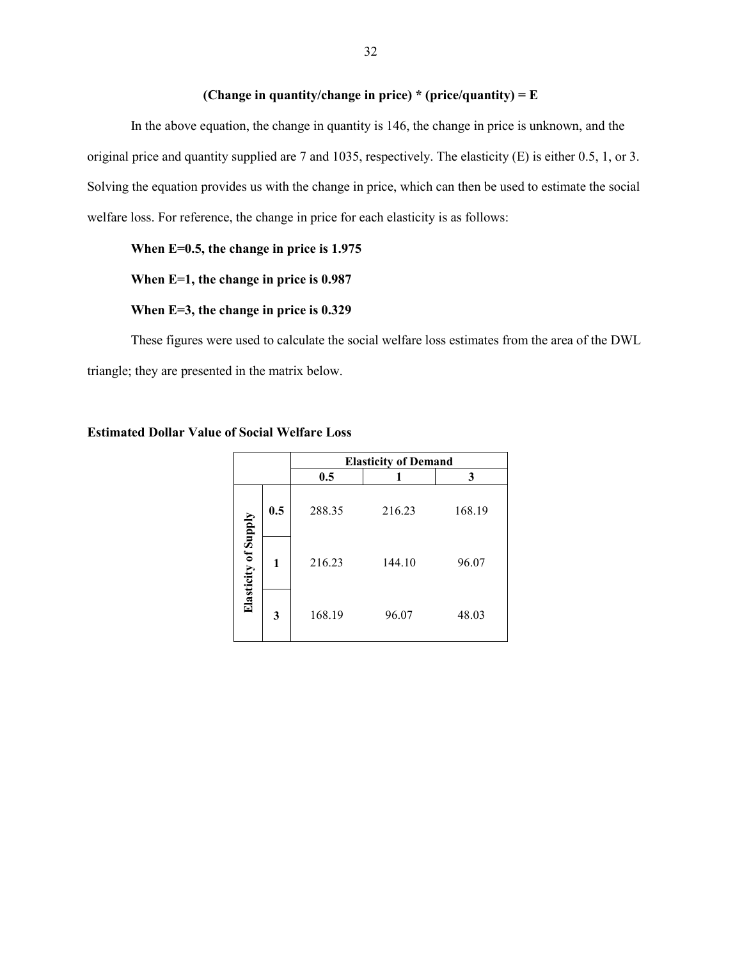# **(Change in quantity/change in price) \* (price/quantity) = E**

In the above equation, the change in quantity is 146, the change in price is unknown, and the original price and quantity supplied are 7 and 1035, respectively. The elasticity (E) is either 0.5, 1, or 3. Solving the equation provides us with the change in price, which can then be used to estimate the social welfare loss. For reference, the change in price for each elasticity is as follows:

# **When E=0.5, the change in price is 1.975**

**When E=1, the change in price is 0.987**

### **When E=3, the change in price is 0.329**

These figures were used to calculate the social welfare loss estimates from the area of the DWL triangle; they are presented in the matrix below.

|                      |     | <b>Elasticity of Demand</b> |        |        |  |
|----------------------|-----|-----------------------------|--------|--------|--|
|                      |     | 0.5                         |        | 3      |  |
|                      | 0.5 | 288.35                      | 216.23 | 168.19 |  |
| Elasticity of Supply | 1   | 216.23                      | 144.10 | 96.07  |  |
|                      | 3   | 168.19                      | 96.07  | 48.03  |  |

# **Estimated Dollar Value of Social Welfare Loss**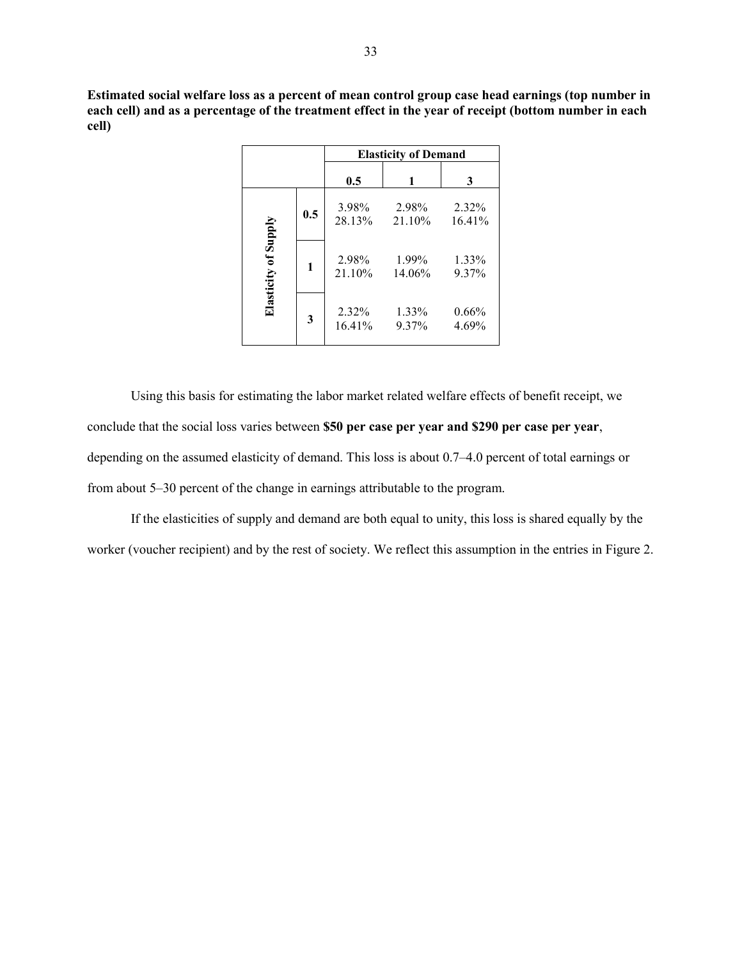**Estimated social welfare loss as a percent of mean control group case head earnings (top number in each cell) and as a percentage of the treatment effect in the year of receipt (bottom number in each cell)**

|                             |                         | <b>Elasticity of Demand</b> |                    |                   |  |
|-----------------------------|-------------------------|-----------------------------|--------------------|-------------------|--|
|                             |                         | 0.5                         |                    | 3                 |  |
|                             | 0.5                     | 3.98%<br>28.13%             | 2.98%<br>$21.10\%$ | 2.32%<br>16.41%   |  |
| <b>Elasticity of Supply</b> | 1                       | 2.98%<br>21.10%             | 1.99%<br>14.06%    | 1.33%<br>9.37%    |  |
|                             | $\overline{\mathbf{3}}$ | 2.32%<br>16.41%             | 1.33%<br>9.37%     | $0.66\%$<br>4.69% |  |

Using this basis for estimating the labor market related welfare effects of benefit receipt, we conclude that the social loss varies between **\$50 per case per year and \$290 per case per year**, depending on the assumed elasticity of demand. This loss is about 0.7–4.0 percent of total earnings or from about 5–30 percent of the change in earnings attributable to the program.

If the elasticities of supply and demand are both equal to unity, this loss is shared equally by the worker (voucher recipient) and by the rest of society. We reflect this assumption in the entries in Figure 2.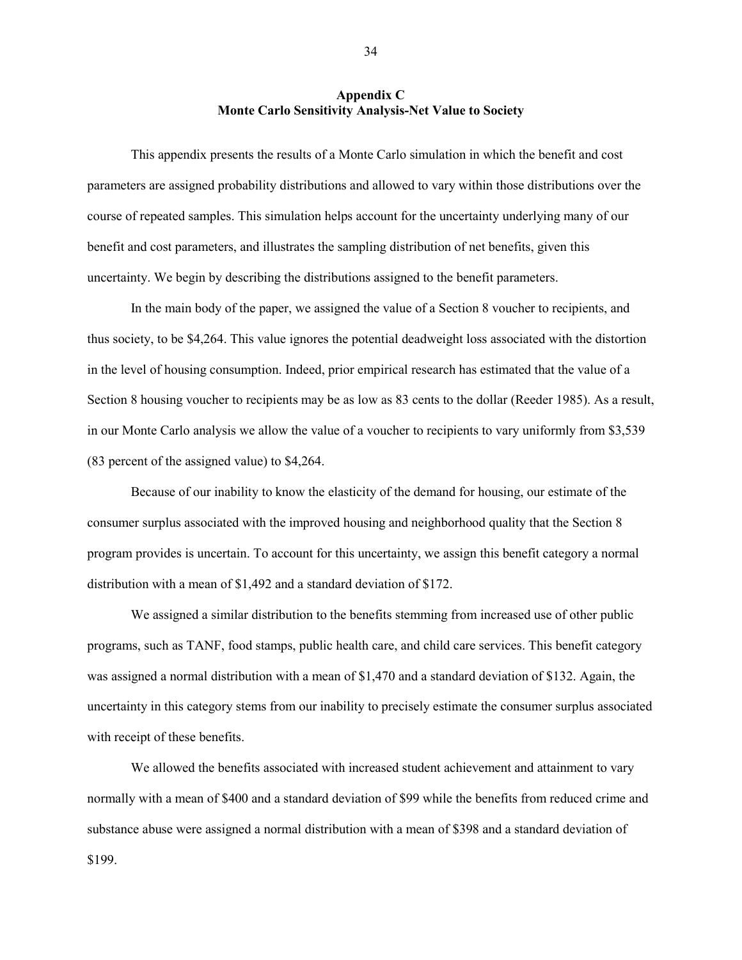### **Appendix C Monte Carlo Sensitivity Analysis-Net Value to Society**

This appendix presents the results of a Monte Carlo simulation in which the benefit and cost parameters are assigned probability distributions and allowed to vary within those distributions over the course of repeated samples. This simulation helps account for the uncertainty underlying many of our benefit and cost parameters, and illustrates the sampling distribution of net benefits, given this uncertainty. We begin by describing the distributions assigned to the benefit parameters.

In the main body of the paper, we assigned the value of a Section 8 voucher to recipients, and thus society, to be \$4,264. This value ignores the potential deadweight loss associated with the distortion in the level of housing consumption. Indeed, prior empirical research has estimated that the value of a Section 8 housing voucher to recipients may be as low as 83 cents to the dollar (Reeder 1985). As a result, in our Monte Carlo analysis we allow the value of a voucher to recipients to vary uniformly from \$3,539 (83 percent of the assigned value) to \$4,264.

Because of our inability to know the elasticity of the demand for housing, our estimate of the consumer surplus associated with the improved housing and neighborhood quality that the Section 8 program provides is uncertain. To account for this uncertainty, we assign this benefit category a normal distribution with a mean of \$1,492 and a standard deviation of \$172.

We assigned a similar distribution to the benefits stemming from increased use of other public programs, such as TANF, food stamps, public health care, and child care services. This benefit category was assigned a normal distribution with a mean of \$1,470 and a standard deviation of \$132. Again, the uncertainty in this category stems from our inability to precisely estimate the consumer surplus associated with receipt of these benefits.

We allowed the benefits associated with increased student achievement and attainment to vary normally with a mean of \$400 and a standard deviation of \$99 while the benefits from reduced crime and substance abuse were assigned a normal distribution with a mean of \$398 and a standard deviation of \$199.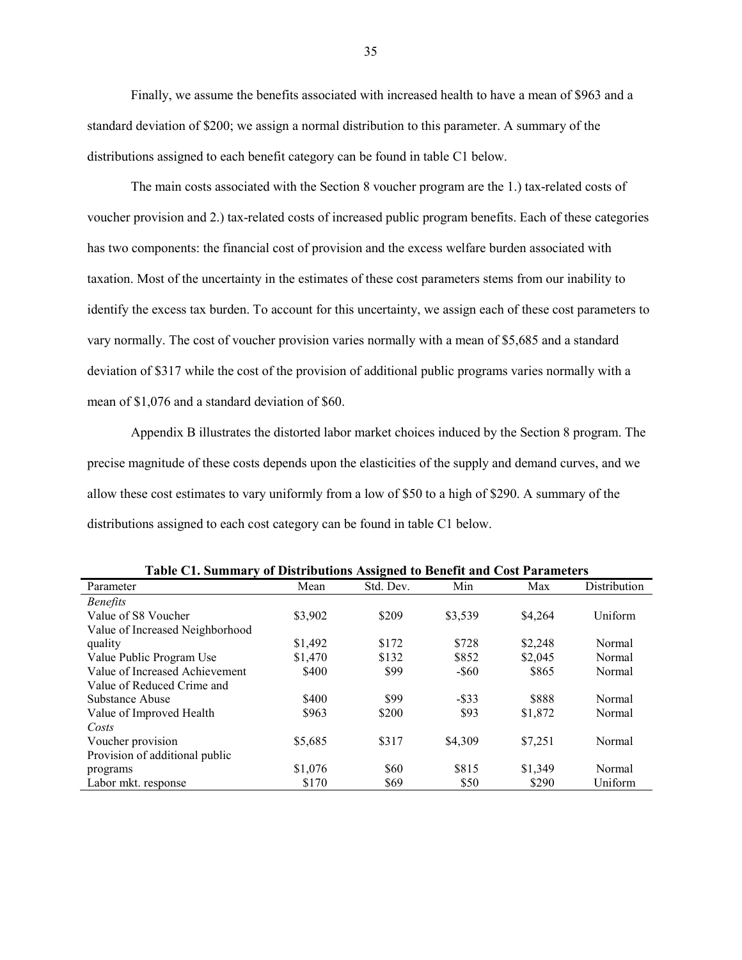Finally, we assume the benefits associated with increased health to have a mean of \$963 and a standard deviation of \$200; we assign a normal distribution to this parameter. A summary of the distributions assigned to each benefit category can be found in table C1 below.

The main costs associated with the Section 8 voucher program are the 1.) tax-related costs of voucher provision and 2.) tax-related costs of increased public program benefits. Each of these categories has two components: the financial cost of provision and the excess welfare burden associated with taxation. Most of the uncertainty in the estimates of these cost parameters stems from our inability to identify the excess tax burden. To account for this uncertainty, we assign each of these cost parameters to vary normally. The cost of voucher provision varies normally with a mean of \$5,685 and a standard deviation of \$317 while the cost of the provision of additional public programs varies normally with a mean of \$1,076 and a standard deviation of \$60.

Appendix B illustrates the distorted labor market choices induced by the Section 8 program. The precise magnitude of these costs depends upon the elasticities of the supply and demand curves, and we allow these cost estimates to vary uniformly from a low of \$50 to a high of \$290. A summary of the distributions assigned to each cost category can be found in table C1 below.

| Table C1. Summary of Distributions Assigned to Benefit and Cost Parameters |         |           |          |         |              |  |
|----------------------------------------------------------------------------|---------|-----------|----------|---------|--------------|--|
| Parameter                                                                  | Mean    | Std. Dev. | Min      | Max     | Distribution |  |
| <b>Benefits</b>                                                            |         |           |          |         |              |  |
| Value of S8 Voucher                                                        | \$3,902 | \$209     | \$3,539  | \$4,264 | Uniform      |  |
| Value of Increased Neighborhood                                            |         |           |          |         |              |  |
| quality                                                                    | \$1,492 | \$172     | \$728    | \$2,248 | Normal       |  |
| Value Public Program Use                                                   | \$1,470 | \$132     | \$852    | \$2,045 | Normal       |  |
| Value of Increased Achievement                                             | \$400   | \$99      | $-$ \$60 | \$865   | Normal       |  |
| Value of Reduced Crime and                                                 |         |           |          |         |              |  |
| Substance Abuse                                                            | \$400   | \$99      | $-$ \$33 | \$888   | Normal       |  |
| Value of Improved Health                                                   | \$963   | \$200     | \$93     | \$1,872 | Normal       |  |
| Costs                                                                      |         |           |          |         |              |  |
| Voucher provision                                                          | \$5,685 | \$317     | \$4,309  | \$7.251 | Normal       |  |
| Provision of additional public                                             |         |           |          |         |              |  |
| programs                                                                   | \$1,076 | \$60      | \$815    | \$1,349 | Normal       |  |
| Labor mkt. response                                                        | \$170   | \$69      | \$50     | \$290   | Uniform      |  |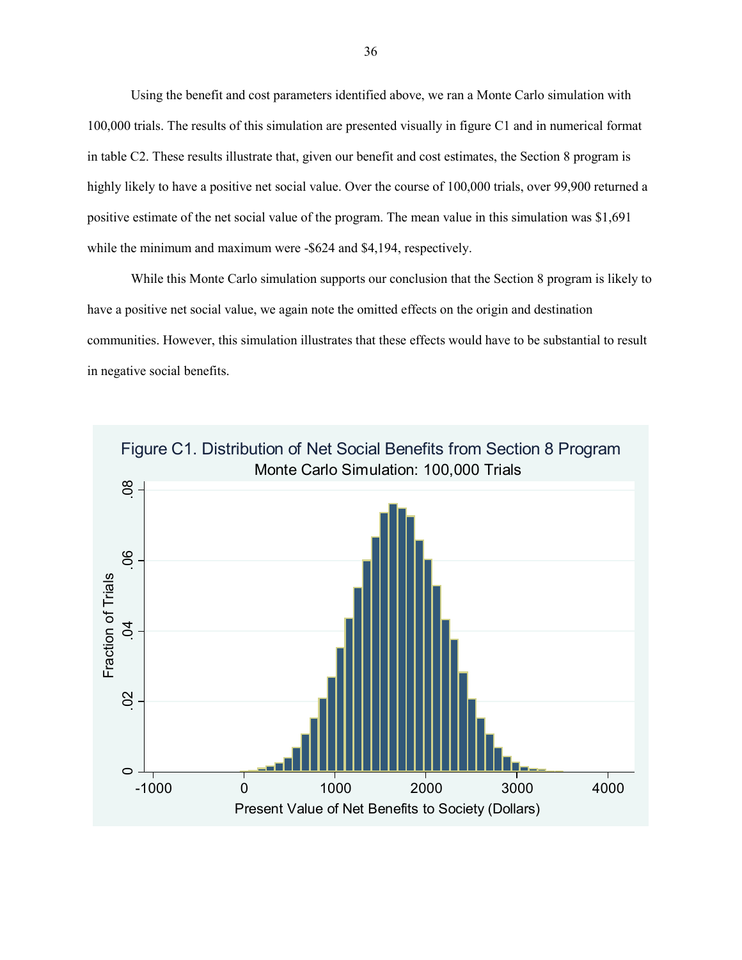Using the benefit and cost parameters identified above, we ran a Monte Carlo simulation with 100,000 trials. The results of this simulation are presented visually in figure C1 and in numerical format in table C2. These results illustrate that, given our benefit and cost estimates, the Section 8 program is highly likely to have a positive net social value. Over the course of 100,000 trials, over 99,900 returned a positive estimate of the net social value of the program. The mean value in this simulation was \$1,691 while the minimum and maximum were -\$624 and \$4,194, respectively.

While this Monte Carlo simulation supports our conclusion that the Section 8 program is likely to have a positive net social value, we again note the omitted effects on the origin and destination communities. However, this simulation illustrates that these effects would have to be substantial to result in negative social benefits.

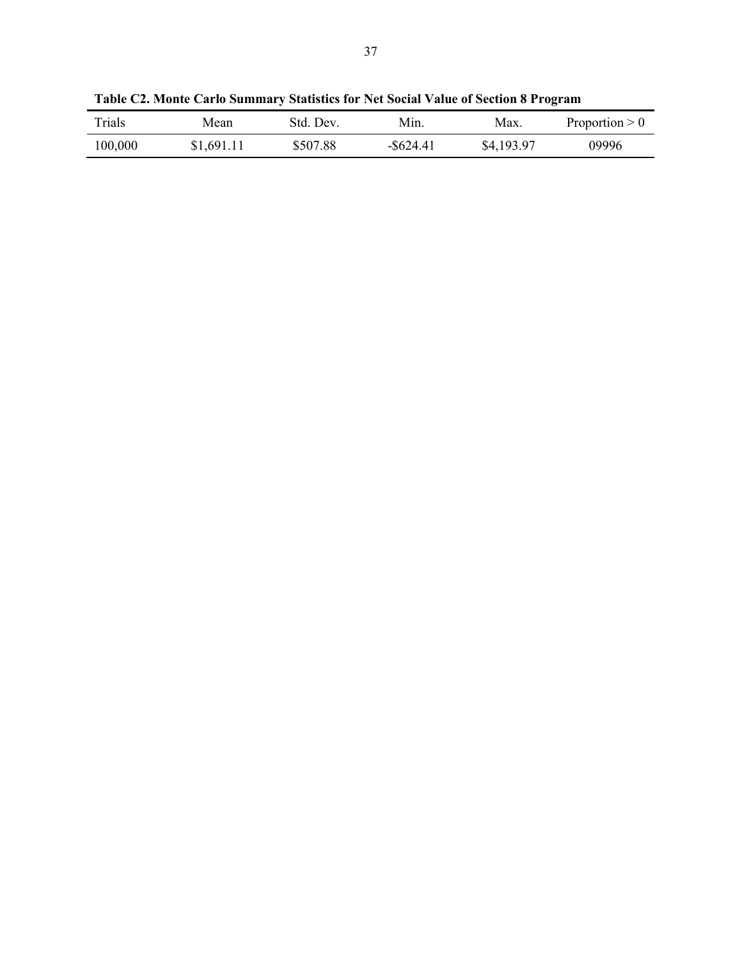| Trials  | Mean       | Std. Dev. | Min.         | Max.       | Proportion $> 0$ |
|---------|------------|-----------|--------------|------------|------------------|
| 100,000 | \$1,691.11 | \$507.88  | $-$ \$624.41 | \$4,193.97 | 09996            |

**Table C2. Monte Carlo Summary Statistics for Net Social Value of Section 8 Program**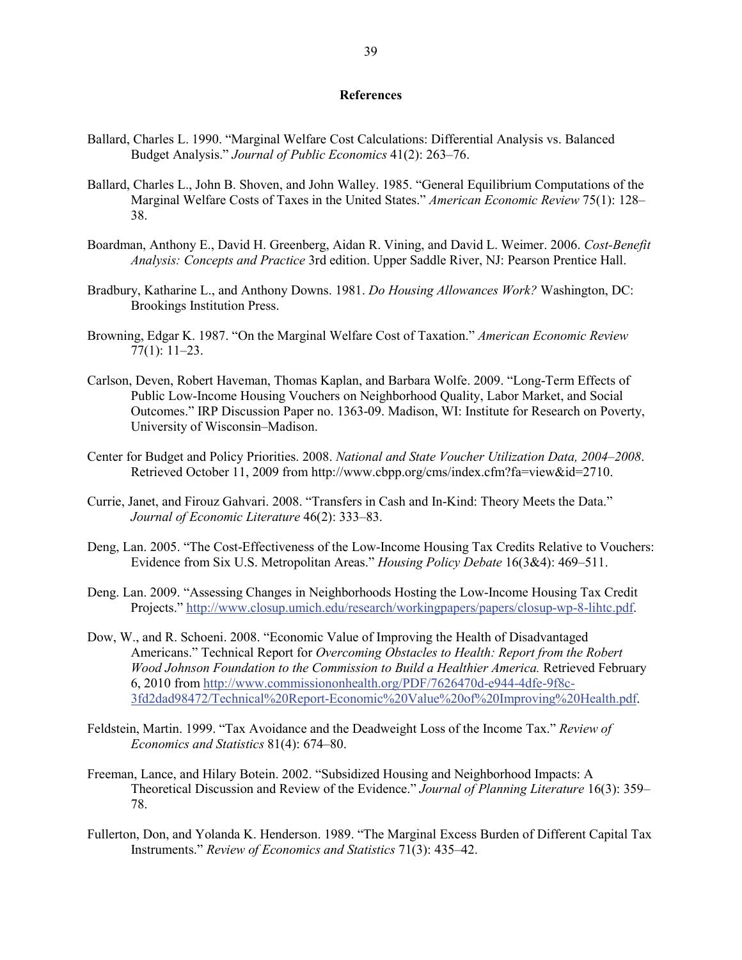#### **References**

- Ballard, Charles L. 1990. "Marginal Welfare Cost Calculations: Differential Analysis vs. Balanced Budget Analysis." *Journal of Public Economics* 41(2): 263–76.
- Ballard, Charles L., John B. Shoven, and John Walley. 1985. "General Equilibrium Computations of the Marginal Welfare Costs of Taxes in the United States." *American Economic Review* 75(1): 128– 38.
- Boardman, Anthony E., David H. Greenberg, Aidan R. Vining, and David L. Weimer. 2006. *Cost-Benefit Analysis: Concepts and Practice* 3rd edition. Upper Saddle River, NJ: Pearson Prentice Hall.
- Bradbury, Katharine L., and Anthony Downs. 1981. *Do Housing Allowances Work?* Washington, DC: Brookings Institution Press.
- Browning, Edgar K. 1987. "On the Marginal Welfare Cost of Taxation." *American Economic Review* 77(1): 11–23.
- Carlson, Deven, Robert Haveman, Thomas Kaplan, and Barbara Wolfe. 2009. "Long-Term Effects of Public Low-Income Housing Vouchers on Neighborhood Quality, Labor Market, and Social Outcomes." IRP Discussion Paper no. 1363-09. Madison, WI: Institute for Research on Poverty, University of Wisconsin–Madison.
- Center for Budget and Policy Priorities. 2008. *National and State Voucher Utilization Data, 2004–2008*. Retrieved October 11, 2009 from http://www.cbpp.org/cms/index.cfm?fa=view&id=2710.
- Currie, Janet, and Firouz Gahvari. 2008. "Transfers in Cash and In-Kind: Theory Meets the Data." *Journal of Economic Literature* 46(2): 333–83.
- Deng, Lan. 2005. "The Cost-Effectiveness of the Low-Income Housing Tax Credits Relative to Vouchers: Evidence from Six U.S. Metropolitan Areas." *Housing Policy Debate* 16(3&4): 469–511.
- Deng. Lan. 2009. "Assessing Changes in Neighborhoods Hosting the Low-Income Housing Tax Credit Projects." [http://www.closup.umich.edu/research/workingpapers/papers/closup-wp-8-lihtc.pdf.](http://www.closup.umich.edu/research/workingpapers/papers/closup-wp-8-lihtc.pdf)
- Dow, W., and R. Schoeni. 2008. "Economic Value of Improving the Health of Disadvantaged Americans." Technical Report for *Overcoming Obstacles to Health: Report from the Robert Wood Johnson Foundation to the Commission to Build a Healthier America.* Retrieved February 6, 2010 from [http://www.commissiononhealth.org/PDF/7626470d-e944-4dfe-9f8c-](http://www.commissiononhealth.org/PDF/7626470d-e944-4dfe-9f8c-3fd2dad98472/Technical%20Report-Economic%20Value%20of%20Improving%20Health.pdf)[3fd2dad98472/Technical%20Report-Economic%20Value%20of%20Improving%20Health.pdf.](http://www.commissiononhealth.org/PDF/7626470d-e944-4dfe-9f8c-3fd2dad98472/Technical%20Report-Economic%20Value%20of%20Improving%20Health.pdf)
- Feldstein, Martin. 1999. "Tax Avoidance and the Deadweight Loss of the Income Tax." *Review of Economics and Statistics* 81(4): 674–80.
- Freeman, Lance, and Hilary Botein. 2002. "Subsidized Housing and Neighborhood Impacts: A Theoretical Discussion and Review of the Evidence." *Journal of Planning Literature* 16(3): 359– 78.
- Fullerton, Don, and Yolanda K. Henderson. 1989. "The Marginal Excess Burden of Different Capital Tax Instruments." *Review of Economics and Statistics* 71(3): 435–42.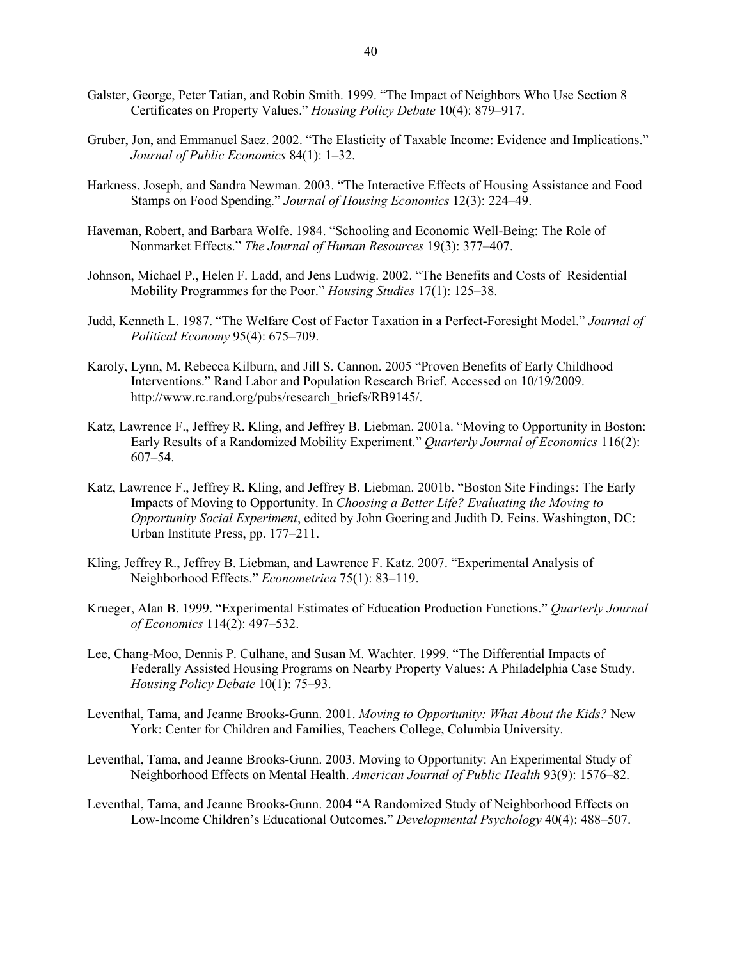- Galster, George, Peter Tatian, and Robin Smith. 1999. "The Impact of Neighbors Who Use Section 8 Certificates on Property Values." *Housing Policy Debate* 10(4): 879–917.
- Gruber, Jon, and Emmanuel Saez. 2002. "The Elasticity of Taxable Income: Evidence and Implications." *Journal of Public Economics* 84(1): 1–32.
- Harkness, Joseph, and Sandra Newman. 2003. "The Interactive Effects of Housing Assistance and Food Stamps on Food Spending." *Journal of Housing Economics* 12(3): 224–49.
- Haveman, Robert, and Barbara Wolfe. 1984. "Schooling and Economic Well-Being: The Role of Nonmarket Effects." *The Journal of Human Resources* 19(3): 377–407.
- Johnson, Michael P., Helen F. Ladd, and Jens Ludwig. 2002. "The Benefits and Costs of Residential Mobility Programmes for the Poor." *Housing Studies* 17(1): 125–38.
- Judd, Kenneth L. 1987. "The Welfare Cost of Factor Taxation in a Perfect-Foresight Model." *Journal of Political Economy* 95(4): 675–709.
- Karoly, Lynn, M. Rebecca Kilburn, and Jill S. Cannon. 2005 "Proven Benefits of Early Childhood Interventions." Rand Labor and Population Research Brief. Accessed on 10/19/2009. [http://www.rc.rand.org/pubs/research\\_briefs/RB9145/.](http://www.rc.rand.org/pubs/research_briefs/RB9145/)
- Katz, Lawrence F., Jeffrey R. Kling, and Jeffrey B. Liebman. 2001a. "Moving to Opportunity in Boston: Early Results of a Randomized Mobility Experiment." *Quarterly Journal of Economics* 116(2): 607–54.
- Katz, Lawrence F., Jeffrey R. Kling, and Jeffrey B. Liebman. 2001b. "Boston Site Findings: The Early Impacts of Moving to Opportunity. In *Choosing a Better Life? Evaluating the Moving to Opportunity Social Experiment*, edited by John Goering and Judith D. Feins. Washington, DC: Urban Institute Press, pp. 177–211.
- Kling, Jeffrey R., Jeffrey B. Liebman, and Lawrence F. Katz. 2007. "Experimental Analysis of Neighborhood Effects." *Econometrica* 75(1): 83–119.
- Krueger, Alan B. 1999. "Experimental Estimates of Education Production Functions." *Quarterly Journal of Economics* 114(2): 497–532.
- Lee, Chang-Moo, Dennis P. Culhane, and Susan M. Wachter. 1999. "The Differential Impacts of Federally Assisted Housing Programs on Nearby Property Values: A Philadelphia Case Study. *Housing Policy Debate* 10(1): 75–93.
- Leventhal, Tama, and Jeanne Brooks-Gunn. 2001. *Moving to Opportunity: What About the Kids?* New York: Center for Children and Families, Teachers College, Columbia University.
- Leventhal, Tama, and Jeanne Brooks-Gunn. 2003. Moving to Opportunity: An Experimental Study of Neighborhood Effects on Mental Health. *American Journal of Public Health* 93(9): 1576–82.
- Leventhal, Tama, and Jeanne Brooks-Gunn. 2004 "A Randomized Study of Neighborhood Effects on Low-Income Children's Educational Outcomes." *Developmental Psychology* 40(4): 488–507.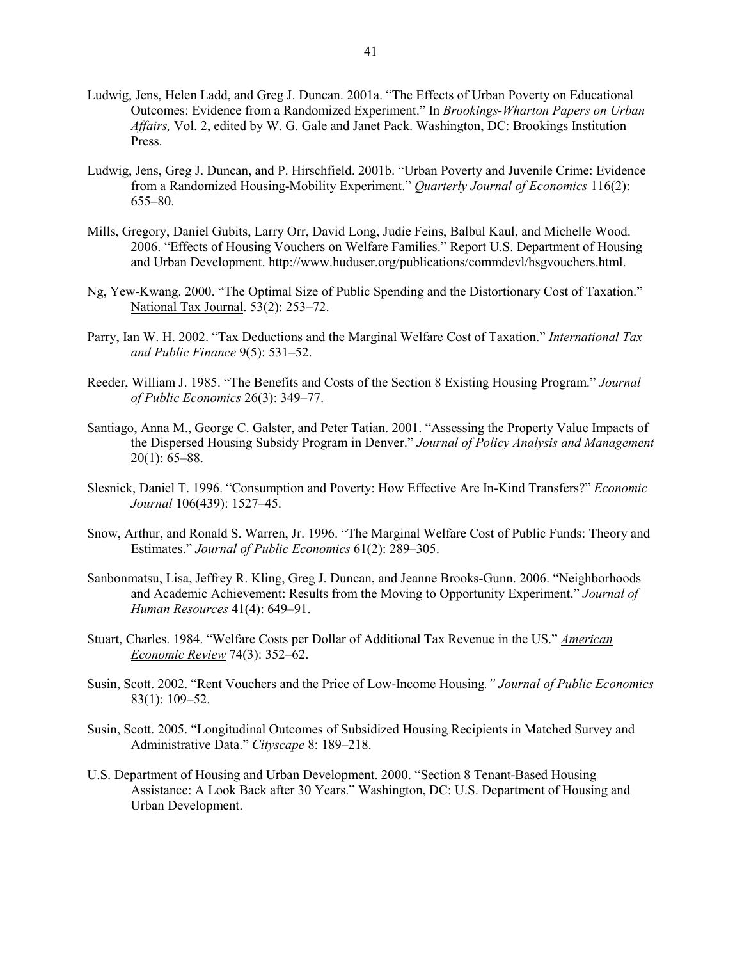- Ludwig, Jens, Helen Ladd, and Greg J. Duncan. 2001a. "The Effects of Urban Poverty on Educational Outcomes: Evidence from a Randomized Experiment." In *Brookings-Wharton Papers on Urban Affairs,* Vol. 2, edited by W. G. Gale and Janet Pack. Washington, DC: Brookings Institution Press.
- Ludwig, Jens, Greg J. Duncan, and P. Hirschfield. 2001b. "Urban Poverty and Juvenile Crime: Evidence from a Randomized Housing-Mobility Experiment." *Quarterly Journal of Economics* 116(2): 655–80.
- Mills, Gregory, Daniel Gubits, Larry Orr, David Long, Judie Feins, Balbul Kaul, and Michelle Wood. 2006. "Effects of Housing Vouchers on Welfare Families." Report U.S. Department of Housing and Urban Development[. http://www.huduser.org/publications/commdevl/hsgvouchers.html.](http://www.huduser.org/publications/commdevl/hsgvouchers.html)
- Ng, Yew-Kwang. 2000. "The Optimal Size of Public Spending and the Distortionary Cost of Taxation." National Tax Journal . 53(2): 253–72.
- Parry, Ian W. H. 2002. "Tax Deductions and the Marginal Welfare Cost of Taxation." *International Tax and Public Finance* 9(5): 531–52.
- Reeder, William J. 1985. "The Benefits and Costs of the Section 8 Existing Housing Program." *Journal of Public Economics* 26(3): 349–77.
- Santiago, Anna M., George C. Galster, and Peter Tatian. 2001. "Assessing the Property Value Impacts of the Dispersed Housing Subsidy Program in Denver." *Journal of Policy Analysis and Management* 20(1): 65–88.
- Slesnick, Daniel T. 1996. "Consumption and Poverty: How Effective Are In-Kind Transfers?" *Economic Journal* 106(439): 1527–45.
- Snow, Arthur, and Ronald S. Warren, Jr. 1996. "The Marginal Welfare Cost of Public Funds: Theory and Estimates." *Journal of Public Economics* 61(2): 289–305.
- Sanbonmatsu, Lisa, Jeffrey R. Kling, Greg J. Duncan, and Jeanne Brooks-Gunn. 2006. "Neighborhoods and Academic Achievement: Results from the Moving to Opportunity Experiment." *Journal of Human Resources* 41(4): 649–91.
- Stuart, Charles. 1984. "Welfare Costs per Dollar of Additional Tax Revenue in the US." *American Economic Review* 74(3): 352–62.
- Susin, Scott. 2002. "Rent Vouchers and the Price of Low-Income Housing*." Journal of Public Economics* [83\(1\):](http://www.sciencedirect.com/science?_ob=PublicationURL&_tockey=%23TOC%235834%232002%23999169998%23281353%23FLA%23&_cdi=5834&_pubType=J&view=c&_auth=y&_acct=C000020958&_version=1&_urlVersion=0&_userid=443835&md5=c68186c5b259bef1a23d9bd1e4d7e9aa) 109–52.
- Susin, Scott. 2005. "Longitudinal Outcomes of Subsidized Housing Recipients in Matched Survey and Administrative Data." *Cityscape* 8: 189–218.
- U.S. Department of Housing and Urban Development. 2000. "Section 8 Tenant-Based Housing Assistance: A Look Back after 30 Years." Washington, DC: U.S. Department of Housing and Urban Development.